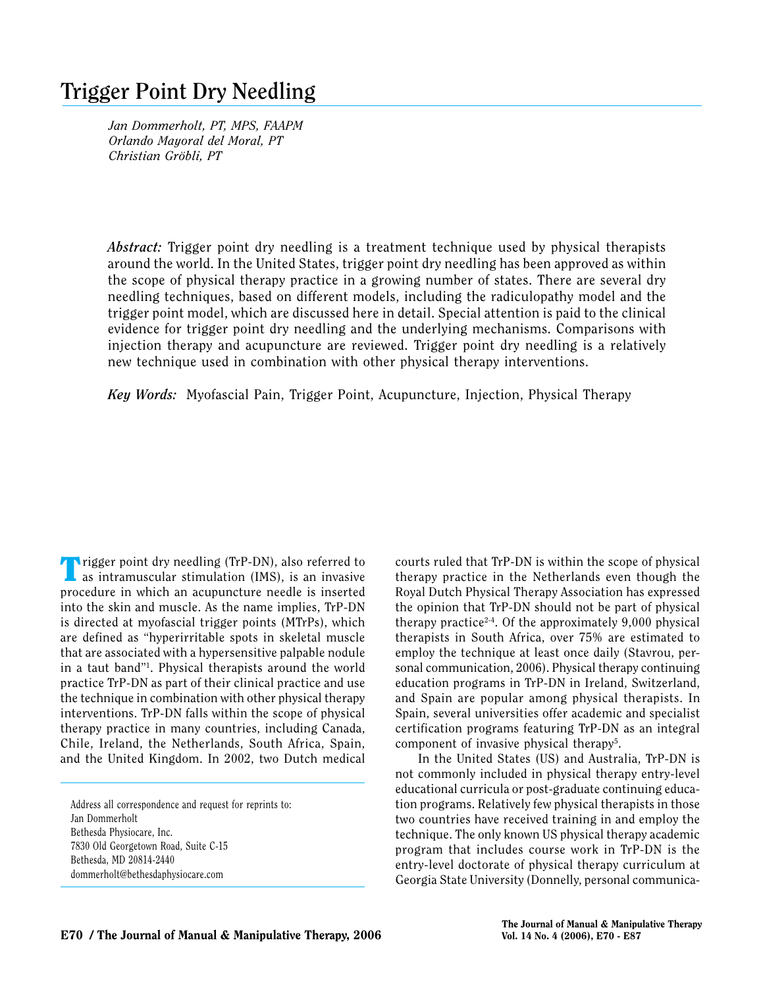# **Trigger Point Dry Needling**

*Jan Dommerholt, PT, MPS, FAAPM Orlando Mayoral del Moral, PT Christian Gröbli, PT*

*Abstract:* Trigger point dry needling is a treatment technique used by physical therapists around the world. In the United States, trigger point dry needling has been approved as within the scope of physical therapy practice in a growing number of states. There are several dry needling techniques, based on different models, including the radiculopathy model and the trigger point model, which are discussed here in detail. Special attention is paid to the clinical evidence for trigger point dry needling and the underlying mechanisms. Comparisons with injection therapy and acupuncture are reviewed. Trigger point dry needling is a relatively new technique used in combination with other physical therapy interventions.

*Key Words:* Myofascial Pain, Trigger Point, Acupuncture, Injection, Physical Therapy

**Trigger point dry needling (TrP-DN), also referred to** as intramuscular stimulation (IMS), is an invasive procedure in which an acupuncture needle is inserted into the skin and muscle. As the name implies, TrP-DN is directed at myofascial trigger points (MTrPs), which are defined as "hyperirritable spots in skeletal muscle that are associated with a hypersensitive palpable nodule in a taut band"1 . Physical therapists around the world practice TrP-DN as part of their clinical practice and use the technique in combination with other physical therapy interventions. TrP-DN falls within the scope of physical therapy practice in many countries, including Canada, Chile, Ireland, the Netherlands, South Africa, Spain, and the United Kingdom. In 2002, two Dutch medical

Address all correspondence and request for reprints to: Jan Dommerholt Bethesda Physiocare, Inc. 7830 Old Georgetown Road, Suite C-15 Bethesda, MD 20814-2440 dommerholt@bethesdaphysiocare.com

courts ruled that TrP-DN is within the scope of physical therapy practice in the Netherlands even though the Royal Dutch Physical Therapy Association has expressed the opinion that TrP-DN should not be part of physical therapy practice<sup>2-4</sup>. Of the approximately 9,000 physical therapists in South Africa, over 75% are estimated to employ the technique at least once daily (Stavrou, personal communication, 2006). Physical therapy continuing education programs in TrP-DN in Ireland, Switzerland, and Spain are popular among physical therapists. In Spain, several universities offer academic and specialist certification programs featuring TrP-DN as an integral component of invasive physical therapy<sup>5</sup>.

In the United States (US) and Australia, TrP-DN is not commonly included in physical therapy entry-level educational curricula or post-graduate continuing education programs. Relatively few physical therapists in those two countries have received training in and employ the technique. The only known US physical therapy academic program that includes course work in TrP-DN is the entry-level doctorate of physical therapy curriculum at Georgia State University (Donnelly, personal communica-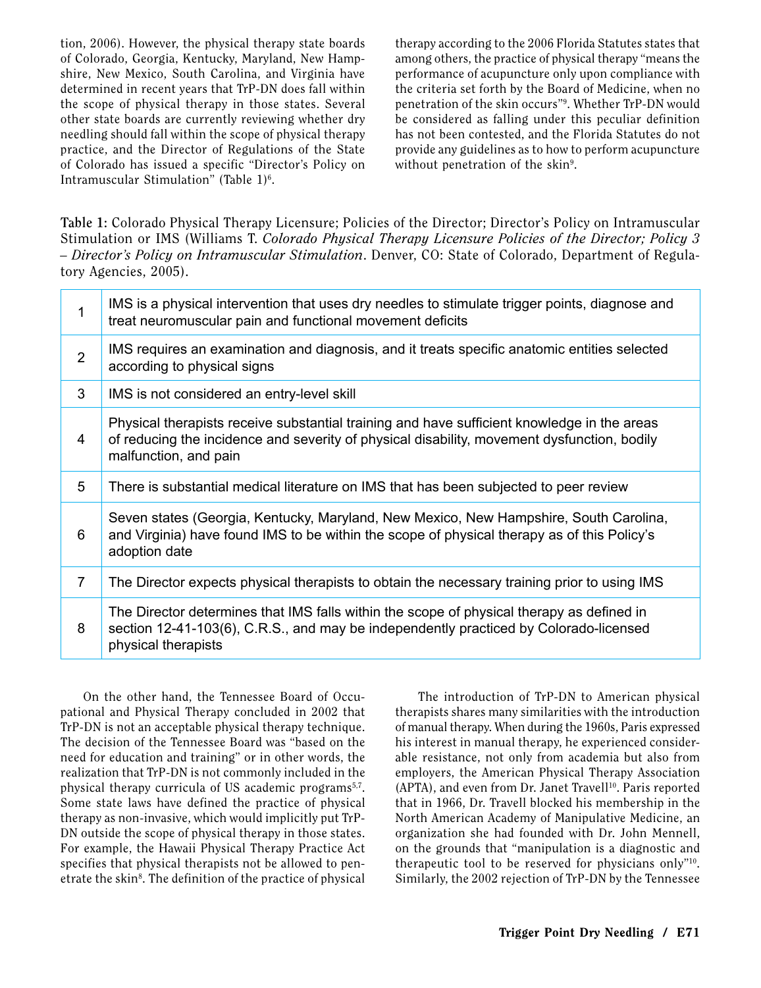tion, 2006). However, the physical therapy state boards of Colorado, Georgia, Kentucky, Maryland, New Hampshire, New Mexico, South Carolina, and Virginia have determined in recent years that TrP-DN does fall within the scope of physical therapy in those states. Several other state boards are currently reviewing whether dry needling should fall within the scope of physical therapy practice, and the Director of Regulations of the State of Colorado has issued a specific "Director's Policy on Intramuscular Stimulation" (Table 1)<sup>6</sup>.

therapy according to the 2006 Florida Statutes states that among others, the practice of physical therapy "means the performance of acupuncture only upon compliance with the criteria set forth by the Board of Medicine, when no penetration of the skin occurs"9 . Whether TrP-DN would be considered as falling under this peculiar definition has not been contested, and the Florida Statutes do not provide any guidelines as to how to perform acupuncture without penetration of the skin<sup>9</sup>.

**Table 1:** Colorado Physical Therapy Licensure; Policies of the Director; Director's Policy on Intramuscular Stimulation or IMS (Williams T. *Colorado Physical Therapy Licensure Policies of the Director; Policy 3 – Director's Policy on Intramuscular Stimulation*. Denver, CO: State of Colorado, Department of Regulatory Agencies, 2005).

| 1              | IMS is a physical intervention that uses dry needles to stimulate trigger points, diagnose and<br>treat neuromuscular pain and functional movement deficits                                                         |  |  |
|----------------|---------------------------------------------------------------------------------------------------------------------------------------------------------------------------------------------------------------------|--|--|
| $\overline{2}$ | IMS requires an examination and diagnosis, and it treats specific anatomic entities selected<br>according to physical signs                                                                                         |  |  |
| 3              | IMS is not considered an entry-level skill                                                                                                                                                                          |  |  |
| 4              | Physical therapists receive substantial training and have sufficient knowledge in the areas<br>of reducing the incidence and severity of physical disability, movement dysfunction, bodily<br>malfunction, and pain |  |  |
| 5              | There is substantial medical literature on IMS that has been subjected to peer review                                                                                                                               |  |  |
| 6              | Seven states (Georgia, Kentucky, Maryland, New Mexico, New Hampshire, South Carolina,<br>and Virginia) have found IMS to be within the scope of physical therapy as of this Policy's<br>adoption date               |  |  |
| $\overline{7}$ | The Director expects physical therapists to obtain the necessary training prior to using IMS                                                                                                                        |  |  |
| 8              | The Director determines that IMS falls within the scope of physical therapy as defined in<br>section 12-41-103(6), C.R.S., and may be independently practiced by Colorado-licensed<br>physical therapists           |  |  |

On the other hand, the Tennessee Board of Occupational and Physical Therapy concluded in 2002 that TrP-DN is not an acceptable physical therapy technique. The decision of the Tennessee Board was "based on the need for education and training" or in other words, the realization that TrP-DN is not commonly included in the physical therapy curricula of US academic programs<sup>5,7</sup>. Some state laws have defined the practice of physical therapy as non-invasive, which would implicitly put TrP-DN outside the scope of physical therapy in those states. For example, the Hawaii Physical Therapy Practice Act specifies that physical therapists not be allowed to penetrate the skin<sup>8</sup>. The definition of the practice of physical

The introduction of TrP-DN to American physical therapists shares many similarities with the introduction of manual therapy. When during the 1960s, Paris expressed his interest in manual therapy, he experienced considerable resistance, not only from academia but also from employers, the American Physical Therapy Association (APTA), and even from Dr. Janet Travell<sup>10</sup>. Paris reported that in 1966, Dr. Travell blocked his membership in the North American Academy of Manipulative Medicine, an organization she had founded with Dr. John Mennell, on the grounds that "manipulation is a diagnostic and therapeutic tool to be reserved for physicians only"10. Similarly, the 2002 rejection of TrP-DN by the Tennessee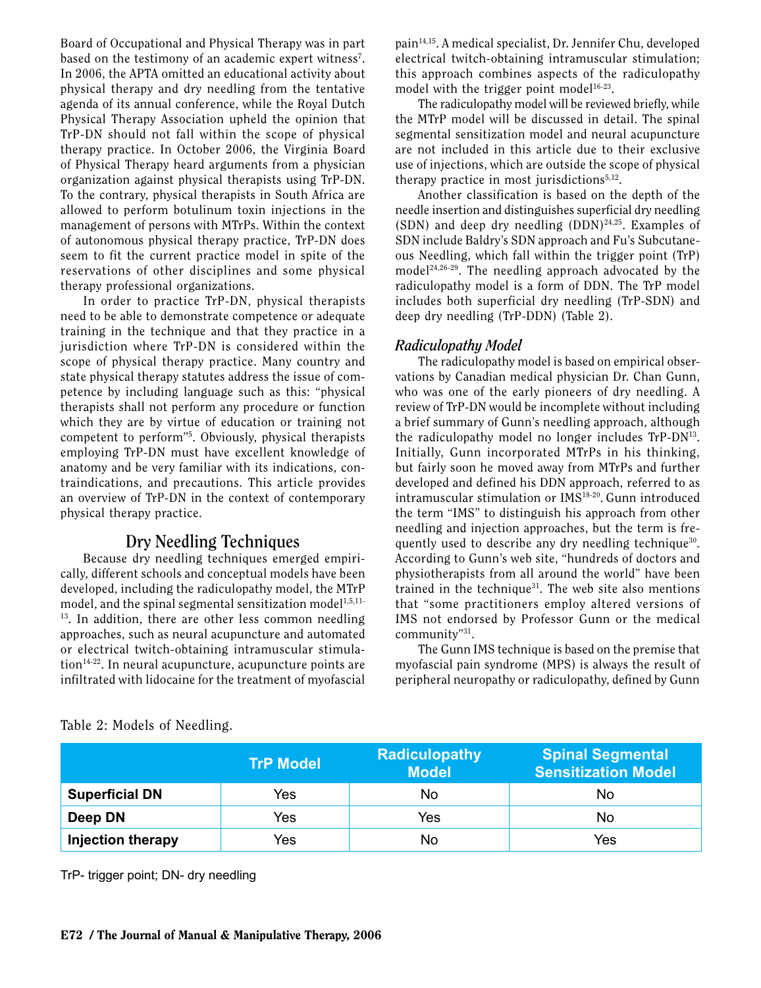Board of Occupational and Physical Therapy was in part based on the testimony of an academic expert witness<sup>7</sup>. In 2006, the APTA omitted an educational activity about physical therapy and dry needling from the tentative agenda of its annual conference, while the Royal Dutch Physical Therapy Association upheld the opinion that TrP-DN should not fall within the scope of physical therapy practice. In October 2006, the Virginia Board of Physical Therapy heard arguments from a physician organization against physical therapists using TrP-DN. To the contrary, physical therapists in South Africa are allowed to perform botulinum toxin injections in the management of persons with MTrPs. Within the context of autonomous physical therapy practice, TrP-DN does seem to fit the current practice model in spite of the reservations of other disciplines and some physical therapy professional organizations.

In order to practice TrP-DN, physical therapists need to be able to demonstrate competence or adequate training in the technique and that they practice in a jurisdiction where TrP-DN is considered within the scope of physical therapy practice. Many country and state physical therapy statutes address the issue of competence by including language such as this: "physical therapists shall not perform any procedure or function which they are by virtue of education or training not competent to perform"5 . Obviously, physical therapists employing TrP-DN must have excellent knowledge of anatomy and be very familiar with its indications, contraindications, and precautions. This article provides an overview of TrP-DN in the context of contemporary physical therapy practice.

# **Dry Needling Techniques**

Because dry needling techniques emerged empirically, different schools and conceptual models have been developed, including the radiculopathy model, the MTrP model, and the spinal segmental sensitization model<sup>1,5,11-</sup>  $13$ . In addition, there are other less common needling approaches, such as neural acupuncture and automated or electrical twitch-obtaining intramuscular stimula $tion<sup>14-22</sup>$ . In neural acupuncture, acupuncture points are infiltrated with lidocaine for the treatment of myofascial

pain14,15. A medical specialist, Dr. Jennifer Chu, developed electrical twitch-obtaining intramuscular stimulation; this approach combines aspects of the radiculopathy model with the trigger point model<sup>16-23</sup>.

The radiculopathy model will be reviewed briefly, while the MTrP model will be discussed in detail. The spinal segmental sensitization model and neural acupuncture are not included in this article due to their exclusive use of injections, which are outside the scope of physical therapy practice in most jurisdictions $5,12$ .

Another classification is based on the depth of the needle insertion and distinguishes superficial dry needling (SDN) and deep dry needling  $(DDN)^{24,25}$ . Examples of SDN include Baldry's SDN approach and Fu's Subcutaneous Needling, which fall within the trigger point (TrP) model<sup>24,26-29</sup>. The needling approach advocated by the radiculopathy model is a form of DDN. The TrP model includes both superficial dry needling (TrP-SDN) and deep dry needling (TrP-DDN) (Table 2).

## *Radiculopathy Model*

The radiculopathy model is based on empirical observations by Canadian medical physician Dr. Chan Gunn, who was one of the early pioneers of dry needling. A review of TrP-DN would be incomplete without including a brief summary of Gunn's needling approach, although the radiculopathy model no longer includes TrP-DN13. Initially, Gunn incorporated MTrPs in his thinking, but fairly soon he moved away from MTrPs and further developed and defined his DDN approach, referred to as intramuscular stimulation or IMS<sup>18-20</sup>. Gunn introduced the term "IMS" to distinguish his approach from other needling and injection approaches, but the term is frequently used to describe any dry needling technique30. According to Gunn's web site, "hundreds of doctors and physiotherapists from all around the world" have been trained in the technique<sup>31</sup>. The web site also mentions that "some practitioners employ altered versions of IMS not endorsed by Professor Gunn or the medical community"31.

The Gunn IMS technique is based on the premise that myofascial pain syndrome (MPS) is always the result of peripheral neuropathy or radiculopathy, defined by Gunn

|                          | <b>TrP Model</b> | <b>Radiculopathy</b><br><b>Model</b> | <b>Spinal Segmental</b><br><b>Sensitization Model</b> |
|--------------------------|------------------|--------------------------------------|-------------------------------------------------------|
| <b>Superficial DN</b>    | Yes              | No                                   | No                                                    |
| Deep DN                  | Yes              | Yes                                  | No                                                    |
| <b>Injection therapy</b> | Yes              | No                                   | Yes                                                   |

Table 2: Models of Needling.

TrP- trigger point; DN- dry needling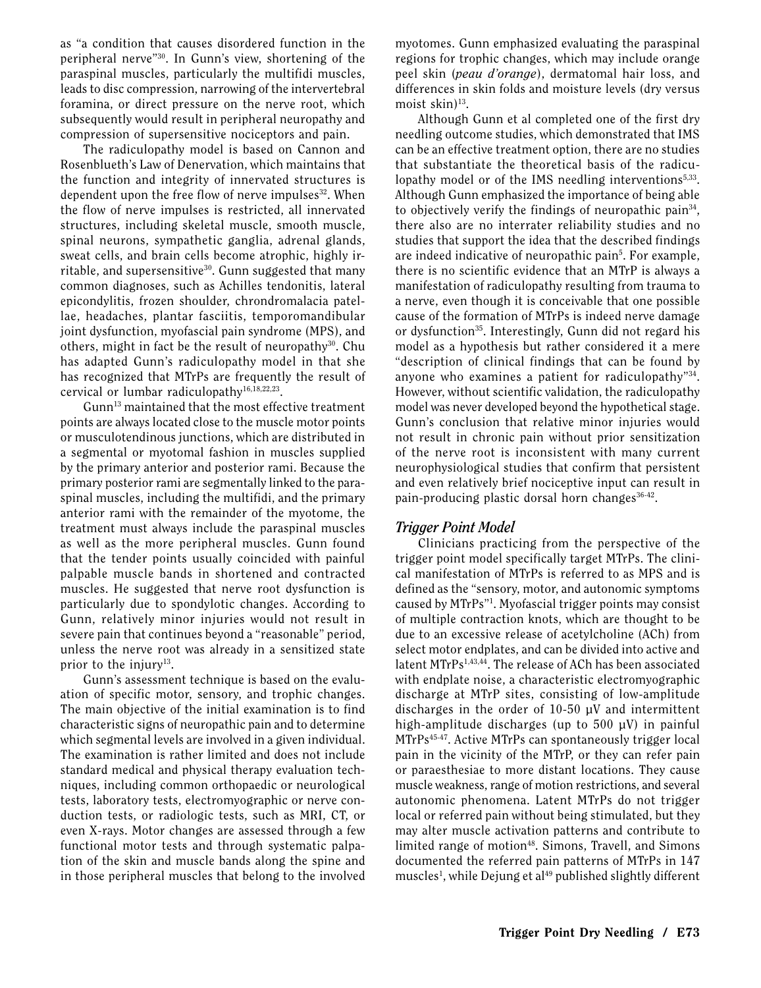as "a condition that causes disordered function in the peripheral nerve"30. In Gunn's view, shortening of the paraspinal muscles, particularly the multifidi muscles, leads to disc compression, narrowing of the intervertebral foramina, or direct pressure on the nerve root, which subsequently would result in peripheral neuropathy and compression of supersensitive nociceptors and pain.

The radiculopathy model is based on Cannon and Rosenblueth's Law of Denervation, which maintains that the function and integrity of innervated structures is dependent upon the free flow of nerve impulses<sup>32</sup>. When the flow of nerve impulses is restricted, all innervated structures, including skeletal muscle, smooth muscle, spinal neurons, sympathetic ganglia, adrenal glands, sweat cells, and brain cells become atrophic, highly irritable, and supersensitive $30$ . Gunn suggested that many common diagnoses, such as Achilles tendonitis, lateral epicondylitis, frozen shoulder, chrondromalacia patellae, headaches, plantar fasciitis, temporomandibular joint dysfunction, myofascial pain syndrome (MPS), and others, might in fact be the result of neuropathy $30$ . Chu has adapted Gunn's radiculopathy model in that she has recognized that MTrPs are frequently the result of cervical or lumbar radiculopathy<sup>16,18,22,23</sup>.

Gunn13 maintained that the most effective treatment points are always located close to the muscle motor points or musculotendinous junctions, which are distributed in a segmental or myotomal fashion in muscles supplied by the primary anterior and posterior rami. Because the primary posterior rami are segmentally linked to the paraspinal muscles, including the multifidi, and the primary anterior rami with the remainder of the myotome, the treatment must always include the paraspinal muscles as well as the more peripheral muscles. Gunn found that the tender points usually coincided with painful palpable muscle bands in shortened and contracted muscles. He suggested that nerve root dysfunction is particularly due to spondylotic changes. According to Gunn, relatively minor injuries would not result in severe pain that continues beyond a "reasonable" period, unless the nerve root was already in a sensitized state prior to the injury $^{13}$ .

Gunn's assessment technique is based on the evaluation of specific motor, sensory, and trophic changes. The main objective of the initial examination is to find characteristic signs of neuropathic pain and to determine which segmental levels are involved in a given individual. The examination is rather limited and does not include standard medical and physical therapy evaluation techniques, including common orthopaedic or neurological tests, laboratory tests, electromyographic or nerve conduction tests, or radiologic tests, such as MRI, CT, or even X-rays. Motor changes are assessed through a few functional motor tests and through systematic palpation of the skin and muscle bands along the spine and in those peripheral muscles that belong to the involved

myotomes. Gunn emphasized evaluating the paraspinal regions for trophic changes, which may include orange peel skin (*peau d'orange*), dermatomal hair loss, and differences in skin folds and moisture levels (dry versus moist skin $)^{13}$ .

Although Gunn et al completed one of the first dry needling outcome studies, which demonstrated that IMS can be an effective treatment option, there are no studies that substantiate the theoretical basis of the radiculopathy model or of the IMS needling interventions<sup>5,33</sup>. Although Gunn emphasized the importance of being able to objectively verify the findings of neuropathic pain<sup>34</sup>, there also are no interrater reliability studies and no studies that support the idea that the described findings are indeed indicative of neuropathic pain<sup>5</sup>. For example, there is no scientific evidence that an MTrP is always a manifestation of radiculopathy resulting from trauma to a nerve, even though it is conceivable that one possible cause of the formation of MTrPs is indeed nerve damage or dysfunction<sup>35</sup>. Interestingly, Gunn did not regard his model as a hypothesis but rather considered it a mere "description of clinical findings that can be found by anyone who examines a patient for radiculopathy"34. However, without scientific validation, the radiculopathy model was never developed beyond the hypothetical stage. Gunn's conclusion that relative minor injuries would not result in chronic pain without prior sensitization of the nerve root is inconsistent with many current neurophysiological studies that confirm that persistent and even relatively brief nociceptive input can result in pain-producing plastic dorsal horn changes<sup>36-42</sup>.

## *Trigger Point Model*

Clinicians practicing from the perspective of the trigger point model specifically target MTrPs. The clinical manifestation of MTrPs is referred to as MPS and is defined as the "sensory, motor, and autonomic symptoms caused by MTrPs"1 . Myofascial trigger points may consist of multiple contraction knots, which are thought to be due to an excessive release of acetylcholine (ACh) from select motor endplates, and can be divided into active and latent MTrPs<sup>1,43,44</sup>. The release of ACh has been associated with endplate noise, a characteristic electromyographic discharge at MTrP sites, consisting of low-amplitude discharges in the order of 10-50 µV and intermittent high-amplitude discharges (up to 500 µV) in painful MTrPs45-47. Active MTrPs can spontaneously trigger local pain in the vicinity of the MTrP, or they can refer pain or paraesthesiae to more distant locations. They cause muscle weakness, range of motion restrictions, and several autonomic phenomena. Latent MTrPs do not trigger local or referred pain without being stimulated, but they may alter muscle activation patterns and contribute to limited range of motion<sup>48</sup>. Simons, Travell, and Simons documented the referred pain patterns of MTrPs in 147 muscles<sup>1</sup>, while Dejung et al<sup>49</sup> published slightly different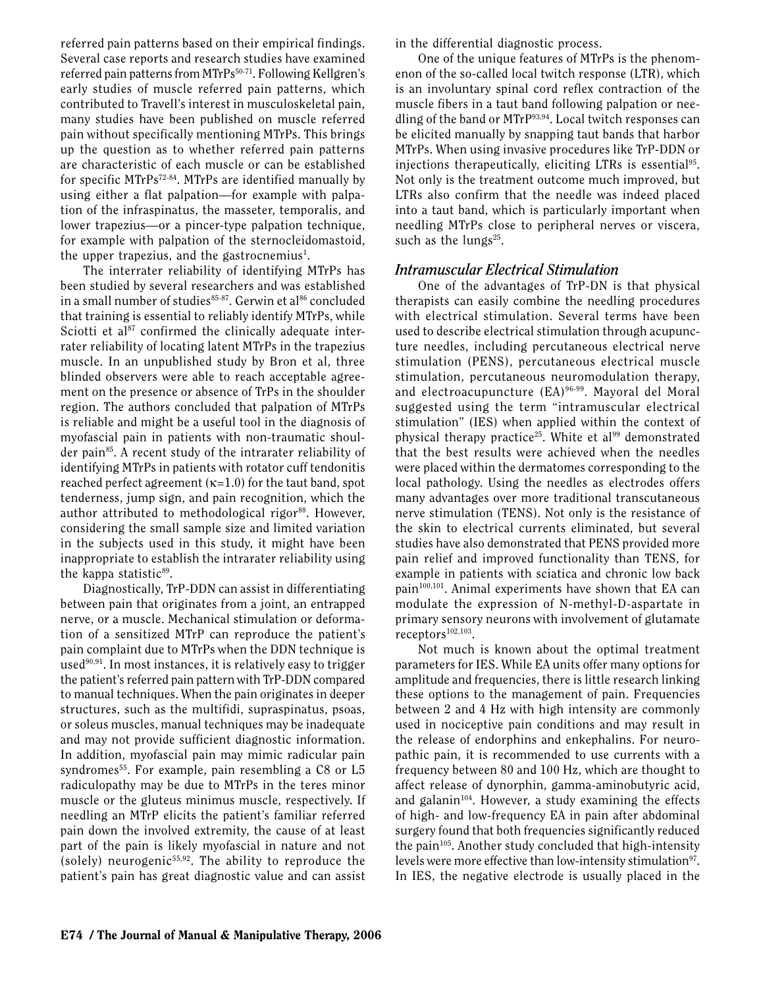referred pain patterns based on their empirical findings. Several case reports and research studies have examined referred pain patterns from MTrPs<sup>50-71</sup>. Following Kellgren's early studies of muscle referred pain patterns, which contributed to Travell's interest in musculoskeletal pain, many studies have been published on muscle referred pain without specifically mentioning MTrPs. This brings up the question as to whether referred pain patterns are characteristic of each muscle or can be established for specific MTrPs<sup>72-84</sup>. MTrPs are identified manually by using either a flat palpation—for example with palpation of the infraspinatus, the masseter, temporalis, and lower trapezius—or a pincer-type palpation technique, for example with palpation of the sternocleidomastoid, the upper trapezius, and the gastrocnemius<sup>1</sup>.

The interrater reliability of identifying MTrPs has been studied by several researchers and was established in a small number of studies<sup>85-87</sup>. Gerwin et al<sup>86</sup> concluded that training is essential to reliably identify MTrPs, while Sciotti et al $87$  confirmed the clinically adequate interrater reliability of locating latent MTrPs in the trapezius muscle. In an unpublished study by Bron et al, three blinded observers were able to reach acceptable agreement on the presence or absence of TrPs in the shoulder region. The authors concluded that palpation of MTrPs is reliable and might be a useful tool in the diagnosis of myofascial pain in patients with non-traumatic shoulder pain<sup>85</sup>. A recent study of the intrarater reliability of identifying MTrPs in patients with rotator cuff tendonitis reached perfect agreement  $(\kappa=1.0)$  for the taut band, spot tenderness, jump sign, and pain recognition, which the author attributed to methodological rigor<sup>88</sup>. However, considering the small sample size and limited variation in the subjects used in this study, it might have been inappropriate to establish the intrarater reliability using the kappa statistic<sup>89</sup>.

Diagnostically, TrP-DDN can assist in differentiating between pain that originates from a joint, an entrapped nerve, or a muscle. Mechanical stimulation or deformation of a sensitized MTrP can reproduce the patient's pain complaint due to MTrPs when the DDN technique is used $90,91$ . In most instances, it is relatively easy to trigger the patient's referred pain pattern with TrP-DDN compared to manual techniques. When the pain originates in deeper structures, such as the multifidi, supraspinatus, psoas, or soleus muscles, manual techniques may be inadequate and may not provide sufficient diagnostic information. In addition, myofascial pain may mimic radicular pain syndromes<sup>55</sup>. For example, pain resembling a  $C8$  or  $L5$ radiculopathy may be due to MTrPs in the teres minor muscle or the gluteus minimus muscle, respectively. If needling an MTrP elicits the patient's familiar referred pain down the involved extremity, the cause of at least part of the pain is likely myofascial in nature and not (solely) neurogenic<sup>55,92</sup>. The ability to reproduce the patient's pain has great diagnostic value and can assist in the differential diagnostic process.

One of the unique features of MTrPs is the phenomenon of the so-called local twitch response (LTR), which is an involuntary spinal cord reflex contraction of the muscle fibers in a taut band following palpation or needling of the band or MTrP93,94. Local twitch responses can be elicited manually by snapping taut bands that harbor MTrPs. When using invasive procedures like TrP-DDN or injections therapeutically, eliciting LTRs is essential<sup>95</sup>. Not only is the treatment outcome much improved, but LTRs also confirm that the needle was indeed placed into a taut band, which is particularly important when needling MTrPs close to peripheral nerves or viscera, such as the lungs $25$ .

#### *Intramuscular Electrical Stimulation*

One of the advantages of TrP-DN is that physical therapists can easily combine the needling procedures with electrical stimulation. Several terms have been used to describe electrical stimulation through acupuncture needles, including percutaneous electrical nerve stimulation (PENS), percutaneous electrical muscle stimulation, percutaneous neuromodulation therapy, and electroacupuncture (EA)96-99. Mayoral del Moral suggested using the term "intramuscular electrical stimulation" (IES) when applied within the context of physical therapy practice<sup>25</sup>. White et al<sup>99</sup> demonstrated that the best results were achieved when the needles were placed within the dermatomes corresponding to the local pathology. Using the needles as electrodes offers many advantages over more traditional transcutaneous nerve stimulation (TENS). Not only is the resistance of the skin to electrical currents eliminated, but several studies have also demonstrated that PENS provided more pain relief and improved functionality than TENS, for example in patients with sciatica and chronic low back pain100,101. Animal experiments have shown that EA can modulate the expression of N-methyl-D-aspartate in primary sensory neurons with involvement of glutamate receptors<sup>102,103</sup>.

Not much is known about the optimal treatment parameters for IES. While EA units offer many options for amplitude and frequencies, there is little research linking these options to the management of pain. Frequencies between 2 and 4 Hz with high intensity are commonly used in nociceptive pain conditions and may result in the release of endorphins and enkephalins. For neuropathic pain, it is recommended to use currents with a frequency between 80 and 100 Hz, which are thought to affect release of dynorphin, gamma-aminobutyric acid, and galanin $104$ . However, a study examining the effects of high- and low-frequency EA in pain after abdominal surgery found that both frequencies significantly reduced the pain<sup>105</sup>. Another study concluded that high-intensity levels were more effective than low-intensity stimulation<sup>97</sup>. In IES, the negative electrode is usually placed in the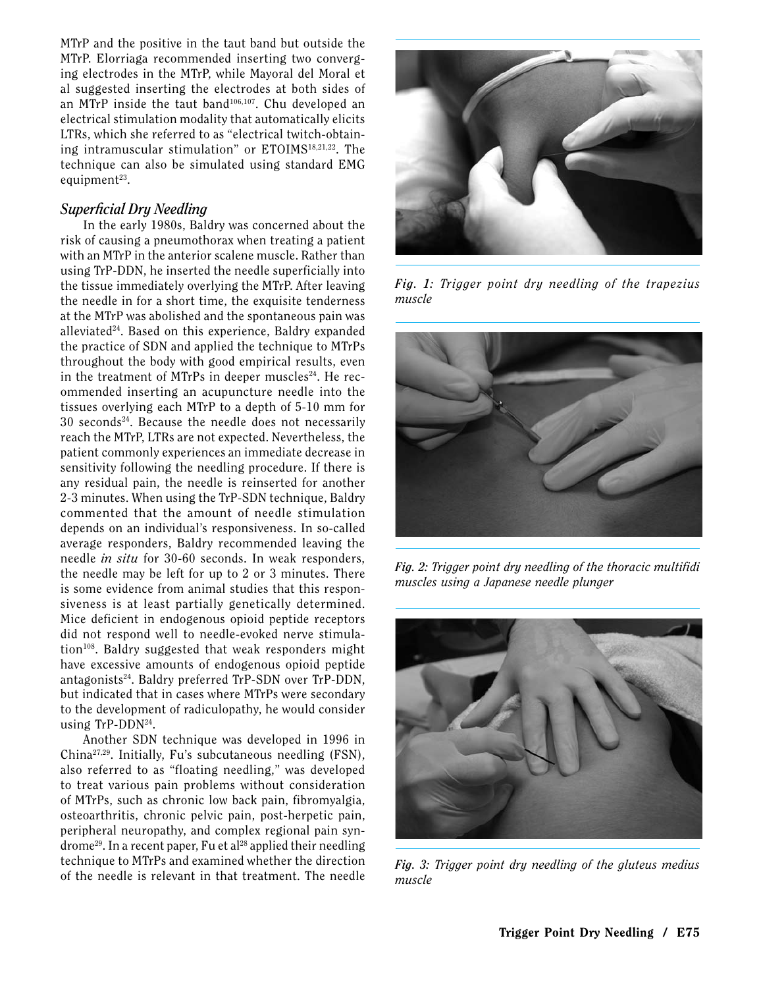MTrP and the positive in the taut band but outside the MTrP. Elorriaga recommended inserting two converging electrodes in the MTrP, while Mayoral del Moral et al suggested inserting the electrodes at both sides of an MTrP inside the taut band106,107. Chu developed an electrical stimulation modality that automatically elicits LTRs, which she referred to as "electrical twitch-obtaining intramuscular stimulation" or ETOIMS<sup>18,21,22</sup>. The technique can also be simulated using standard EMG equipment $23$ .

#### *Superficial Dry Needling*

In the early 1980s, Baldry was concerned about the risk of causing a pneumothorax when treating a patient with an MTrP in the anterior scalene muscle. Rather than using TrP-DDN, he inserted the needle superficially into the tissue immediately overlying the MTrP. After leaving the needle in for a short time, the exquisite tenderness at the MTrP was abolished and the spontaneous pain was alleviated24. Based on this experience, Baldry expanded the practice of SDN and applied the technique to MTrPs throughout the body with good empirical results, even in the treatment of MTrPs in deeper muscles<sup>24</sup>. He recommended inserting an acupuncture needle into the tissues overlying each MTrP to a depth of 5-10 mm for  $30$  seconds<sup>24</sup>. Because the needle does not necessarily reach the MTrP, LTRs are not expected. Nevertheless, the patient commonly experiences an immediate decrease in sensitivity following the needling procedure. If there is any residual pain, the needle is reinserted for another 2-3 minutes. When using the TrP-SDN technique, Baldry commented that the amount of needle stimulation depends on an individual's responsiveness. In so-called average responders, Baldry recommended leaving the needle *in situ* for 30-60 seconds. In weak responders, the needle may be left for up to 2 or 3 minutes. There is some evidence from animal studies that this responsiveness is at least partially genetically determined. Mice deficient in endogenous opioid peptide receptors did not respond well to needle-evoked nerve stimulation<sup>108</sup>. Baldry suggested that weak responders might have excessive amounts of endogenous opioid peptide antagonists24. Baldry preferred TrP-SDN over TrP-DDN, but indicated that in cases where MTrPs were secondary to the development of radiculopathy, he would consider using TrP-DDN24.

Another SDN technique was developed in 1996 in China27,29. Initially, Fu's subcutaneous needling (FSN), also referred to as "floating needling," was developed to treat various pain problems without consideration of MTrPs, such as chronic low back pain, fibromyalgia, osteoarthritis, chronic pelvic pain, post-herpetic pain, peripheral neuropathy, and complex regional pain syn $d$ rome<sup>29</sup>. In a recent paper, Fu et al<sup>28</sup> applied their needling technique to MTrPs and examined whether the direction of the needle is relevant in that treatment. The needle



*Fig. 1: Trigger point dry needling of the trapezius muscle*



*Fig. 2: Trigger point dry needling of the thoracic multifidi muscles using a Japanese needle plunger*



*Fig. 3: Trigger point dry needling of the gluteus medius muscle*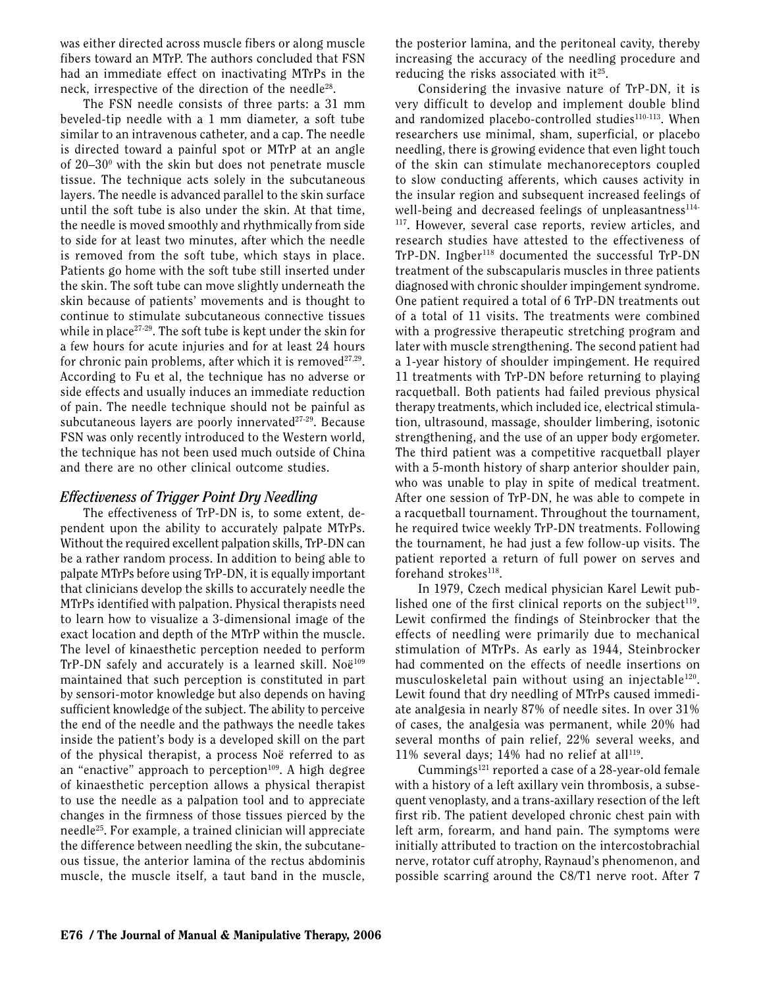was either directed across muscle fibers or along muscle fibers toward an MTrP. The authors concluded that FSN had an immediate effect on inactivating MTrPs in the neck, irrespective of the direction of the needle<sup>28</sup>.

The FSN needle consists of three parts: a 31 mm beveled-tip needle with a 1 mm diameter, a soft tube similar to an intravenous catheter, and a cap. The needle is directed toward a painful spot or MTrP at an angle of  $20-30$ <sup>o</sup> with the skin but does not penetrate muscle tissue. The technique acts solely in the subcutaneous layers. The needle is advanced parallel to the skin surface until the soft tube is also under the skin. At that time, the needle is moved smoothly and rhythmically from side to side for at least two minutes, after which the needle is removed from the soft tube, which stays in place. Patients go home with the soft tube still inserted under the skin. The soft tube can move slightly underneath the skin because of patients' movements and is thought to continue to stimulate subcutaneous connective tissues while in place<sup>27-29</sup>. The soft tube is kept under the skin for a few hours for acute injuries and for at least 24 hours for chronic pain problems, after which it is removed $27.29$ . According to Fu et al, the technique has no adverse or side effects and usually induces an immediate reduction of pain. The needle technique should not be painful as subcutaneous layers are poorly innervated $27-29$ . Because FSN was only recently introduced to the Western world, the technique has not been used much outside of China and there are no other clinical outcome studies.

#### *Effectiveness of Trigger Point Dry Needling*

The effectiveness of TrP-DN is, to some extent, dependent upon the ability to accurately palpate MTrPs. Without the required excellent palpation skills, TrP-DN can be a rather random process. In addition to being able to palpate MTrPs before using TrP-DN, it is equally important that clinicians develop the skills to accurately needle the MTrPs identified with palpation. Physical therapists need to learn how to visualize a 3-dimensional image of the exact location and depth of the MTrP within the muscle. The level of kinaesthetic perception needed to perform  $TrP-DN$  safely and accurately is a learned skill. Noë<sup>109</sup> maintained that such perception is constituted in part by sensori-motor knowledge but also depends on having sufficient knowledge of the subject. The ability to perceive the end of the needle and the pathways the needle takes inside the patient's body is a developed skill on the part of the physical therapist, a process Noë referred to as an "enactive" approach to perception $109$ . A high degree of kinaesthetic perception allows a physical therapist to use the needle as a palpation tool and to appreciate changes in the firmness of those tissues pierced by the needle25. For example, a trained clinician will appreciate the difference between needling the skin, the subcutaneous tissue, the anterior lamina of the rectus abdominis muscle, the muscle itself, a taut band in the muscle,

the posterior lamina, and the peritoneal cavity, thereby increasing the accuracy of the needling procedure and reducing the risks associated with it $25$ .

Considering the invasive nature of TrP-DN, it is very difficult to develop and implement double blind and randomized placebo-controlled studies<sup>110-113</sup>. When researchers use minimal, sham, superficial, or placebo needling, there is growing evidence that even light touch of the skin can stimulate mechanoreceptors coupled to slow conducting afferents, which causes activity in the insular region and subsequent increased feelings of well-being and decreased feelings of unpleasantness $114-$ 117. However, several case reports, review articles, and research studies have attested to the effectiveness of TrP-DN. Ingber<sup>118</sup> documented the successful TrP-DN treatment of the subscapularis muscles in three patients diagnosed with chronic shoulder impingement syndrome. One patient required a total of 6 TrP-DN treatments out of a total of 11 visits. The treatments were combined with a progressive therapeutic stretching program and later with muscle strengthening. The second patient had a 1-year history of shoulder impingement. He required 11 treatments with TrP-DN before returning to playing racquetball. Both patients had failed previous physical therapy treatments, which included ice, electrical stimulation, ultrasound, massage, shoulder limbering, isotonic strengthening, and the use of an upper body ergometer. The third patient was a competitive racquetball player with a 5-month history of sharp anterior shoulder pain, who was unable to play in spite of medical treatment. After one session of TrP-DN, he was able to compete in a racquetball tournament. Throughout the tournament, he required twice weekly TrP-DN treatments. Following the tournament, he had just a few follow-up visits. The patient reported a return of full power on serves and forehand strokes<sup>118</sup>.

In 1979, Czech medical physician Karel Lewit published one of the first clinical reports on the subject $119$ . Lewit confirmed the findings of Steinbrocker that the effects of needling were primarily due to mechanical stimulation of MTrPs. As early as 1944, Steinbrocker had commented on the effects of needle insertions on musculoskeletal pain without using an injectable<sup>120</sup>. Lewit found that dry needling of MTrPs caused immediate analgesia in nearly 87% of needle sites. In over 31% of cases, the analgesia was permanent, while 20% had several months of pain relief, 22% several weeks, and 11% several days; 14% had no relief at all $^{119}$ .

Cummings $^{121}$  reported a case of a 28-year-old female with a history of a left axillary vein thrombosis, a subsequent venoplasty, and a trans-axillary resection of the left first rib. The patient developed chronic chest pain with left arm, forearm, and hand pain. The symptoms were initially attributed to traction on the intercostobrachial nerve, rotator cuff atrophy, Raynaud's phenomenon, and possible scarring around the C8/T1 nerve root. After 7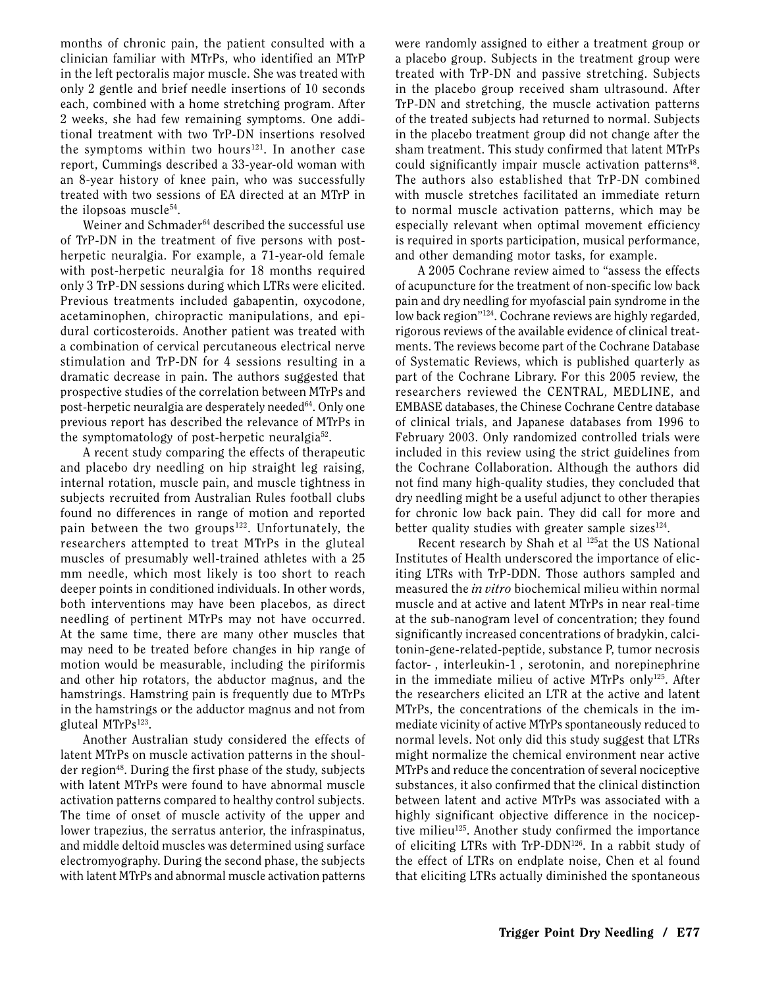months of chronic pain, the patient consulted with a clinician familiar with MTrPs, who identified an MTrP in the left pectoralis major muscle. She was treated with only 2 gentle and brief needle insertions of 10 seconds each, combined with a home stretching program. After 2 weeks, she had few remaining symptoms. One additional treatment with two TrP-DN insertions resolved the symptoms within two hours $121$ . In another case report, Cummings described a 33-year-old woman with an 8-year history of knee pain, who was successfully treated with two sessions of EA directed at an MTrP in the ilopsoas muscle<sup>54</sup>.

Weiner and Schmader<sup>64</sup> described the successful use of TrP-DN in the treatment of five persons with postherpetic neuralgia. For example, a 71-year-old female with post-herpetic neuralgia for 18 months required only 3 TrP-DN sessions during which LTRs were elicited. Previous treatments included gabapentin, oxycodone, acetaminophen, chiropractic manipulations, and epidural corticosteroids. Another patient was treated with a combination of cervical percutaneous electrical nerve stimulation and TrP-DN for 4 sessions resulting in a dramatic decrease in pain. The authors suggested that prospective studies of the correlation between MTrPs and post-herpetic neuralgia are desperately needed<sup>64</sup>. Only one previous report has described the relevance of MTrPs in the symptomatology of post-herpetic neuralgia52.

A recent study comparing the effects of therapeutic and placebo dry needling on hip straight leg raising, internal rotation, muscle pain, and muscle tightness in subjects recruited from Australian Rules football clubs found no differences in range of motion and reported pain between the two groups<sup>122</sup>. Unfortunately, the researchers attempted to treat MTrPs in the gluteal muscles of presumably well-trained athletes with a 25 mm needle, which most likely is too short to reach deeper points in conditioned individuals. In other words, both interventions may have been placebos, as direct needling of pertinent MTrPs may not have occurred. At the same time, there are many other muscles that may need to be treated before changes in hip range of motion would be measurable, including the piriformis and other hip rotators, the abductor magnus, and the hamstrings. Hamstring pain is frequently due to MTrPs in the hamstrings or the adductor magnus and not from gluteal MTrPs<sup>123</sup>.

Another Australian study considered the effects of latent MTrPs on muscle activation patterns in the shoulder region<sup>48</sup>. During the first phase of the study, subjects with latent MTrPs were found to have abnormal muscle activation patterns compared to healthy control subjects. The time of onset of muscle activity of the upper and lower trapezius, the serratus anterior, the infraspinatus, and middle deltoid muscles was determined using surface electromyography. During the second phase, the subjects with latent MTrPs and abnormal muscle activation patterns

were randomly assigned to either a treatment group or a placebo group. Subjects in the treatment group were treated with TrP-DN and passive stretching. Subjects in the placebo group received sham ultrasound. After TrP-DN and stretching, the muscle activation patterns of the treated subjects had returned to normal. Subjects in the placebo treatment group did not change after the sham treatment. This study confirmed that latent MTrPs could significantly impair muscle activation patterns<sup>48</sup>. The authors also established that TrP-DN combined with muscle stretches facilitated an immediate return to normal muscle activation patterns, which may be especially relevant when optimal movement efficiency is required in sports participation, musical performance, and other demanding motor tasks, for example.

A 2005 Cochrane review aimed to "assess the effects of acupuncture for the treatment of non-specific low back pain and dry needling for myofascial pain syndrome in the low back region"124. Cochrane reviews are highly regarded, rigorous reviews of the available evidence of clinical treatments. The reviews become part of the Cochrane Database of Systematic Reviews, which is published quarterly as part of the Cochrane Library. For this 2005 review, the researchers reviewed the CENTRAL, MEDLINE, and EMBASE databases, the Chinese Cochrane Centre database of clinical trials, and Japanese databases from 1996 to February 2003. Only randomized controlled trials were included in this review using the strict guidelines from the Cochrane Collaboration. Although the authors did not find many high-quality studies, they concluded that dry needling might be a useful adjunct to other therapies for chronic low back pain. They did call for more and better quality studies with greater sample sizes $^{124}$ .

Recent research by Shah et al <sup>125</sup>at the US National Institutes of Health underscored the importance of eliciting LTRs with TrP-DDN. Those authors sampled and measured the *in vitro* biochemical milieu within normal muscle and at active and latent MTrPs in near real-time at the sub-nanogram level of concentration; they found significantly increased concentrations of bradykin, calcitonin-gene-related-peptide, substance P, tumor necrosis factor-, interleukin-1, serotonin, and norepinephrine in the immediate milieu of active MTrPs only125. After the researchers elicited an LTR at the active and latent MTrPs, the concentrations of the chemicals in the immediate vicinity of active MTrPs spontaneously reduced to normal levels. Not only did this study suggest that LTRs might normalize the chemical environment near active MTrPs and reduce the concentration of several nociceptive substances, it also confirmed that the clinical distinction between latent and active MTrPs was associated with a highly significant objective difference in the nociceptive milieu<sup>125</sup>. Another study confirmed the importance of eliciting LTRs with TrP-DDN126. In a rabbit study of the effect of LTRs on endplate noise, Chen et al found that eliciting LTRs actually diminished the spontaneous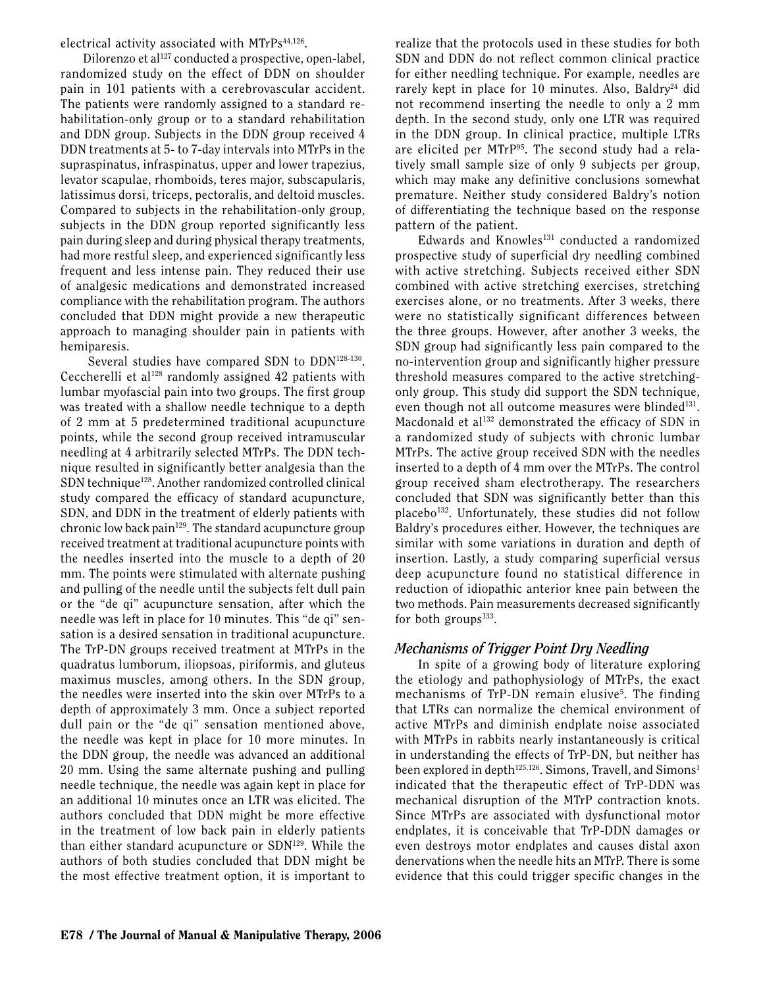electrical activity associated with MTrPs<sup>44,126</sup>.

Dilorenzo et al<sup>127</sup> conducted a prospective, open-label, randomized study on the effect of DDN on shoulder pain in 101 patients with a cerebrovascular accident. The patients were randomly assigned to a standard rehabilitation-only group or to a standard rehabilitation and DDN group. Subjects in the DDN group received 4 DDN treatments at 5- to 7-day intervals into MTrPs in the supraspinatus, infraspinatus, upper and lower trapezius, levator scapulae, rhomboids, teres major, subscapularis, latissimus dorsi, triceps, pectoralis, and deltoid muscles. Compared to subjects in the rehabilitation-only group, subjects in the DDN group reported significantly less pain during sleep and during physical therapy treatments, had more restful sleep, and experienced significantly less frequent and less intense pain. They reduced their use of analgesic medications and demonstrated increased compliance with the rehabilitation program. The authors concluded that DDN might provide a new therapeutic approach to managing shoulder pain in patients with hemiparesis.

 Several studies have compared SDN to DDN128-130. Ceccherelli et al<sup>128</sup> randomly assigned 42 patients with lumbar myofascial pain into two groups. The first group was treated with a shallow needle technique to a depth of 2 mm at 5 predetermined traditional acupuncture points, while the second group received intramuscular needling at 4 arbitrarily selected MTrPs. The DDN technique resulted in significantly better analgesia than the SDN technique<sup>128</sup>. Another randomized controlled clinical study compared the efficacy of standard acupuncture, SDN, and DDN in the treatment of elderly patients with chronic low back pain<sup>129</sup>. The standard acupuncture group received treatment at traditional acupuncture points with the needles inserted into the muscle to a depth of 20 mm. The points were stimulated with alternate pushing and pulling of the needle until the subjects felt dull pain or the "de qi" acupuncture sensation, after which the needle was left in place for 10 minutes. This "de qi" sensation is a desired sensation in traditional acupuncture. The TrP-DN groups received treatment at MTrPs in the quadratus lumborum, iliopsoas, piriformis, and gluteus maximus muscles, among others. In the SDN group, the needles were inserted into the skin over MTrPs to a depth of approximately 3 mm. Once a subject reported dull pain or the "de qi" sensation mentioned above, the needle was kept in place for 10 more minutes. In the DDN group, the needle was advanced an additional 20 mm. Using the same alternate pushing and pulling needle technique, the needle was again kept in place for an additional 10 minutes once an LTR was elicited. The authors concluded that DDN might be more effective in the treatment of low back pain in elderly patients than either standard acupuncture or SDN<sup>129</sup>. While the authors of both studies concluded that DDN might be the most effective treatment option, it is important to

realize that the protocols used in these studies for both SDN and DDN do not reflect common clinical practice for either needling technique. For example, needles are rarely kept in place for 10 minutes. Also, Baldry<sup>24</sup> did not recommend inserting the needle to only a 2 mm depth. In the second study, only one LTR was required in the DDN group. In clinical practice, multiple LTRs are elicited per MTrP95. The second study had a relatively small sample size of only 9 subjects per group, which may make any definitive conclusions somewhat premature. Neither study considered Baldry's notion of differentiating the technique based on the response pattern of the patient.

Edwards and Knowles<sup>131</sup> conducted a randomized prospective study of superficial dry needling combined with active stretching. Subjects received either SDN combined with active stretching exercises, stretching exercises alone, or no treatments. After 3 weeks, there were no statistically significant differences between the three groups. However, after another 3 weeks, the SDN group had significantly less pain compared to the no-intervention group and significantly higher pressure threshold measures compared to the active stretchingonly group. This study did support the SDN technique, even though not all outcome measures were blinded<sup>131</sup>. Macdonald et al<sup>132</sup> demonstrated the efficacy of SDN in a randomized study of subjects with chronic lumbar MTrPs. The active group received SDN with the needles inserted to a depth of 4 mm over the MTrPs. The control group received sham electrotherapy. The researchers concluded that SDN was significantly better than this placebo<sup>132</sup>. Unfortunately, these studies did not follow Baldry's procedures either. However, the techniques are similar with some variations in duration and depth of insertion. Lastly, a study comparing superficial versus deep acupuncture found no statistical difference in reduction of idiopathic anterior knee pain between the two methods. Pain measurements decreased significantly for both groups $133$ .

## *Mechanisms of Trigger Point Dry Needling*

In spite of a growing body of literature exploring the etiology and pathophysiology of MTrPs, the exact mechanisms of TrP-DN remain elusive<sup>5</sup>. The finding that LTRs can normalize the chemical environment of active MTrPs and diminish endplate noise associated with MTrPs in rabbits nearly instantaneously is critical in understanding the effects of TrP-DN, but neither has been explored in depth<sup>125,126</sup>. Simons, Travell, and Simons<sup>1</sup> indicated that the therapeutic effect of TrP-DDN was mechanical disruption of the MTrP contraction knots. Since MTrPs are associated with dysfunctional motor endplates, it is conceivable that TrP-DDN damages or even destroys motor endplates and causes distal axon denervations when the needle hits an MTrP. There is some evidence that this could trigger specific changes in the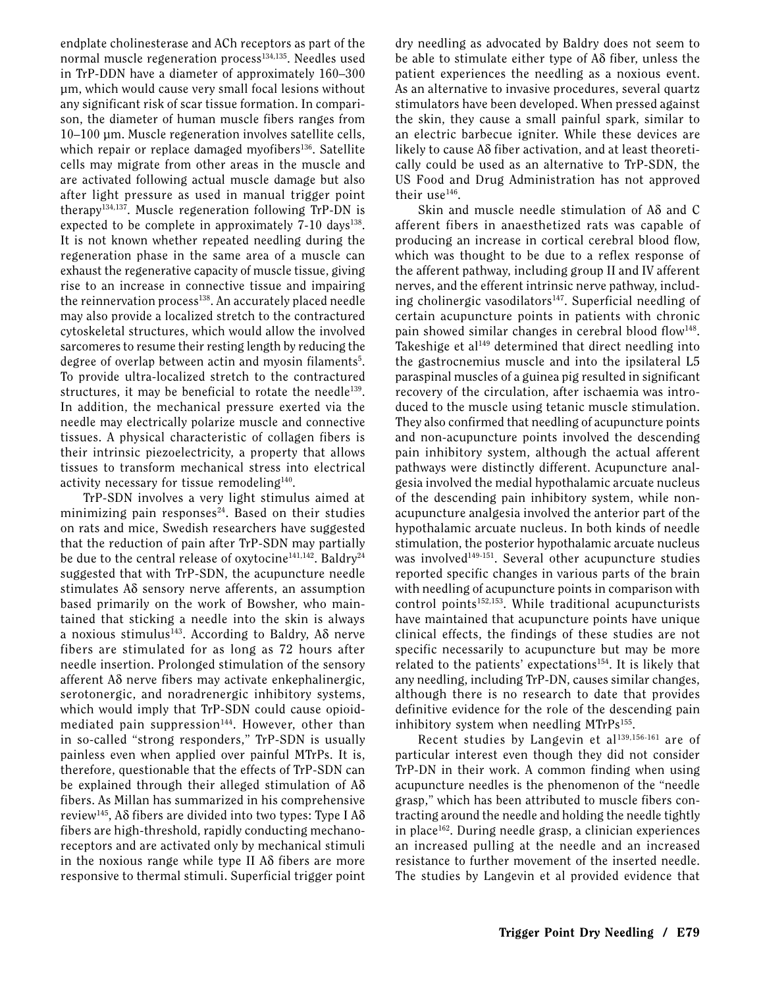endplate cholinesterase and ACh receptors as part of the normal muscle regeneration process<sup>134,135</sup>. Needles used in TrP-DDN have a diameter of approximately 160–300 µm, which would cause very small focal lesions without any significant risk of scar tissue formation. In comparison, the diameter of human muscle fibers ranges from 10–100 µm. Muscle regeneration involves satellite cells, which repair or replace damaged myofibers<sup>136</sup>. Satellite cells may migrate from other areas in the muscle and are activated following actual muscle damage but also after light pressure as used in manual trigger point therapy134,137. Muscle regeneration following TrP-DN is expected to be complete in approximately  $7-10$  days<sup>138</sup>. It is not known whether repeated needling during the regeneration phase in the same area of a muscle can exhaust the regenerative capacity of muscle tissue, giving rise to an increase in connective tissue and impairing the reinnervation process<sup>138</sup>. An accurately placed needle may also provide a localized stretch to the contractured cytoskeletal structures, which would allow the involved sarcomeres to resume their resting length by reducing the degree of overlap between actin and myosin filaments<sup>5</sup>. To provide ultra-localized stretch to the contractured structures, it may be beneficial to rotate the needle<sup>139</sup>. In addition, the mechanical pressure exerted via the needle may electrically polarize muscle and connective tissues. A physical characteristic of collagen fibers is their intrinsic piezoelectricity, a property that allows tissues to transform mechanical stress into electrical activity necessary for tissue remodeling<sup>140</sup>.

TrP-SDN involves a very light stimulus aimed at minimizing pain responses $24$ . Based on their studies on rats and mice, Swedish researchers have suggested that the reduction of pain after TrP-SDN may partially be due to the central release of oxytocine<sup>141,142</sup>. Baldry<sup>24</sup> suggested that with TrP-SDN, the acupuncture needle stimulates Aδ sensory nerve afferents, an assumption based primarily on the work of Bowsher, who maintained that sticking a needle into the skin is always a noxious stimulus<sup>143</sup>. According to Baldry, A $\delta$  nerve fibers are stimulated for as long as 72 hours after needle insertion. Prolonged stimulation of the sensory afferent Aδ nerve fibers may activate enkephalinergic, serotonergic, and noradrenergic inhibitory systems, which would imply that TrP-SDN could cause opioidmediated pain suppression<sup>144</sup>. However, other than in so-called "strong responders," TrP-SDN is usually painless even when applied over painful MTrPs. It is, therefore, questionable that the effects of TrP-SDN can be explained through their alleged stimulation of Aδ fibers. As Millan has summarized in his comprehensive review<sup>145</sup>, Aδ fibers are divided into two types: Type I Aδ fibers are high-threshold, rapidly conducting mechanoreceptors and are activated only by mechanical stimuli in the noxious range while type II Aδ fibers are more responsive to thermal stimuli. Superficial trigger point

dry needling as advocated by Baldry does not seem to be able to stimulate either type of Aδ fiber, unless the patient experiences the needling as a noxious event. As an alternative to invasive procedures, several quartz stimulators have been developed. When pressed against the skin, they cause a small painful spark, similar to an electric barbecue igniter. While these devices are likely to cause Aδ fiber activation, and at least theoretically could be used as an alternative to TrP-SDN, the US Food and Drug Administration has not approved their use<sup>146</sup>.

Skin and muscle needle stimulation of Aδ and C afferent fibers in anaesthetized rats was capable of producing an increase in cortical cerebral blood flow, which was thought to be due to a reflex response of the afferent pathway, including group II and IV afferent nerves, and the efferent intrinsic nerve pathway, including cholinergic vasodilators<sup>147</sup>. Superficial needling of certain acupuncture points in patients with chronic pain showed similar changes in cerebral blood flow<sup>148</sup>. Takeshige et al<sup>149</sup> determined that direct needling into the gastrocnemius muscle and into the ipsilateral L5 paraspinal muscles of a guinea pig resulted in significant recovery of the circulation, after ischaemia was introduced to the muscle using tetanic muscle stimulation. They also confirmed that needling of acupuncture points and non-acupuncture points involved the descending pain inhibitory system, although the actual afferent pathways were distinctly different. Acupuncture analgesia involved the medial hypothalamic arcuate nucleus of the descending pain inhibitory system, while nonacupuncture analgesia involved the anterior part of the hypothalamic arcuate nucleus. In both kinds of needle stimulation, the posterior hypothalamic arcuate nucleus was involved<sup>149-151</sup>. Several other acupuncture studies reported specific changes in various parts of the brain with needling of acupuncture points in comparison with control points<sup>152,153</sup>. While traditional acupuncturists have maintained that acupuncture points have unique clinical effects, the findings of these studies are not specific necessarily to acupuncture but may be more related to the patients' expectations<sup>154</sup>. It is likely that any needling, including TrP-DN, causes similar changes, although there is no research to date that provides definitive evidence for the role of the descending pain inhibitory system when needling  $MTrPs^{155}$ .

Recent studies by Langevin et al<sup>139,156-161</sup> are of particular interest even though they did not consider TrP-DN in their work. A common finding when using acupuncture needles is the phenomenon of the "needle grasp," which has been attributed to muscle fibers contracting around the needle and holding the needle tightly in place<sup>162</sup>. During needle grasp, a clinician experiences an increased pulling at the needle and an increased resistance to further movement of the inserted needle. The studies by Langevin et al provided evidence that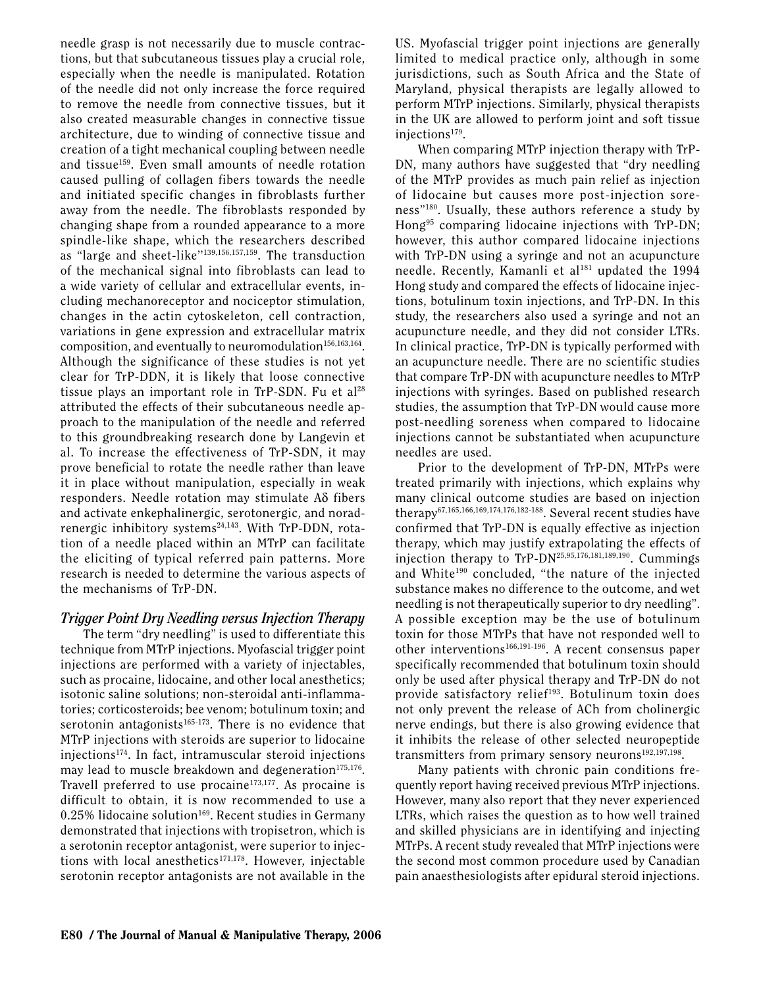needle grasp is not necessarily due to muscle contractions, but that subcutaneous tissues play a crucial role, especially when the needle is manipulated. Rotation of the needle did not only increase the force required to remove the needle from connective tissues, but it also created measurable changes in connective tissue architecture, due to winding of connective tissue and creation of a tight mechanical coupling between needle and tissue<sup>159</sup>. Even small amounts of needle rotation caused pulling of collagen fibers towards the needle and initiated specific changes in fibroblasts further away from the needle. The fibroblasts responded by changing shape from a rounded appearance to a more spindle-like shape, which the researchers described as "large and sheet-like''139,156,157,159. The transduction of the mechanical signal into fibroblasts can lead to a wide variety of cellular and extracellular events, including mechanoreceptor and nociceptor stimulation, changes in the actin cytoskeleton, cell contraction, variations in gene expression and extracellular matrix composition, and eventually to neuromodulation<sup>156,163,164</sup>. Although the significance of these studies is not yet clear for TrP-DDN, it is likely that loose connective tissue plays an important role in TrP-SDN. Fu et al<sup>28</sup> attributed the effects of their subcutaneous needle approach to the manipulation of the needle and referred to this groundbreaking research done by Langevin et al. To increase the effectiveness of TrP-SDN, it may prove beneficial to rotate the needle rather than leave it in place without manipulation, especially in weak responders. Needle rotation may stimulate Aδ fibers and activate enkephalinergic, serotonergic, and noradrenergic inhibitory systems<sup>24,143</sup>. With TrP-DDN, rotation of a needle placed within an MTrP can facilitate the eliciting of typical referred pain patterns. More research is needed to determine the various aspects of the mechanisms of TrP-DN.

#### *Trigger Point Dry Needling versus Injection Therapy*

The term "dry needling" is used to differentiate this technique from MTrP injections. Myofascial trigger point injections are performed with a variety of injectables, such as procaine, lidocaine, and other local anesthetics; isotonic saline solutions; non-steroidal anti-inflammatories; corticosteroids; bee venom; botulinum toxin; and serotonin antagonists $165-173$ . There is no evidence that MTrP injections with steroids are superior to lidocaine injections174. In fact, intramuscular steroid injections may lead to muscle breakdown and degeneration $175,176$ . Travell preferred to use procaine $173,177$ . As procaine is difficult to obtain, it is now recommended to use a  $0.25\%$  lidocaine solution<sup>169</sup>. Recent studies in Germany demonstrated that injections with tropisetron, which is a serotonin receptor antagonist, were superior to injections with local anesthetics<sup>171,178</sup>. However, injectable serotonin receptor antagonists are not available in the US. Myofascial trigger point injections are generally limited to medical practice only, although in some jurisdictions, such as South Africa and the State of Maryland, physical therapists are legally allowed to perform MTrP injections. Similarly, physical therapists in the UK are allowed to perform joint and soft tissue injections179.

When comparing MTrP injection therapy with TrP-DN, many authors have suggested that "dry needling of the MTrP provides as much pain relief as injection of lidocaine but causes more post-injection soreness"180. Usually, these authors reference a study by Hong95 comparing lidocaine injections with TrP-DN; however, this author compared lidocaine injections with TrP-DN using a syringe and not an acupuncture needle. Recently, Kamanli et al<sup>181</sup> updated the 1994 Hong study and compared the effects of lidocaine injections, botulinum toxin injections, and TrP-DN. In this study, the researchers also used a syringe and not an acupuncture needle, and they did not consider LTRs. In clinical practice, TrP-DN is typically performed with an acupuncture needle. There are no scientific studies that compare TrP-DN with acupuncture needles to MTrP injections with syringes. Based on published research studies, the assumption that TrP-DN would cause more post-needling soreness when compared to lidocaine injections cannot be substantiated when acupuncture needles are used.

Prior to the development of TrP-DN, MTrPs were treated primarily with injections, which explains why many clinical outcome studies are based on injection therapy67,165,166,169,174,176,182-188. Several recent studies have confirmed that TrP-DN is equally effective as injection therapy, which may justify extrapolating the effects of injection therapy to TrP-DN25,95,176,181,189,190. Cummings and White<sup>190</sup> concluded, "the nature of the injected substance makes no difference to the outcome, and wet needling is not therapeutically superior to dry needling". A possible exception may be the use of botulinum toxin for those MTrPs that have not responded well to other interventions166,191-196. A recent consensus paper specifically recommended that botulinum toxin should only be used after physical therapy and TrP-DN do not provide satisfactory relief<sup>193</sup>. Botulinum toxin does not only prevent the release of ACh from cholinergic nerve endings, but there is also growing evidence that it inhibits the release of other selected neuropeptide transmitters from primary sensory neurons<sup>192,197,198</sup>.

Many patients with chronic pain conditions frequently report having received previous MTrP injections. However, many also report that they never experienced LTRs, which raises the question as to how well trained and skilled physicians are in identifying and injecting MTrPs. A recent study revealed that MTrP injections were the second most common procedure used by Canadian pain anaesthesiologists after epidural steroid injections.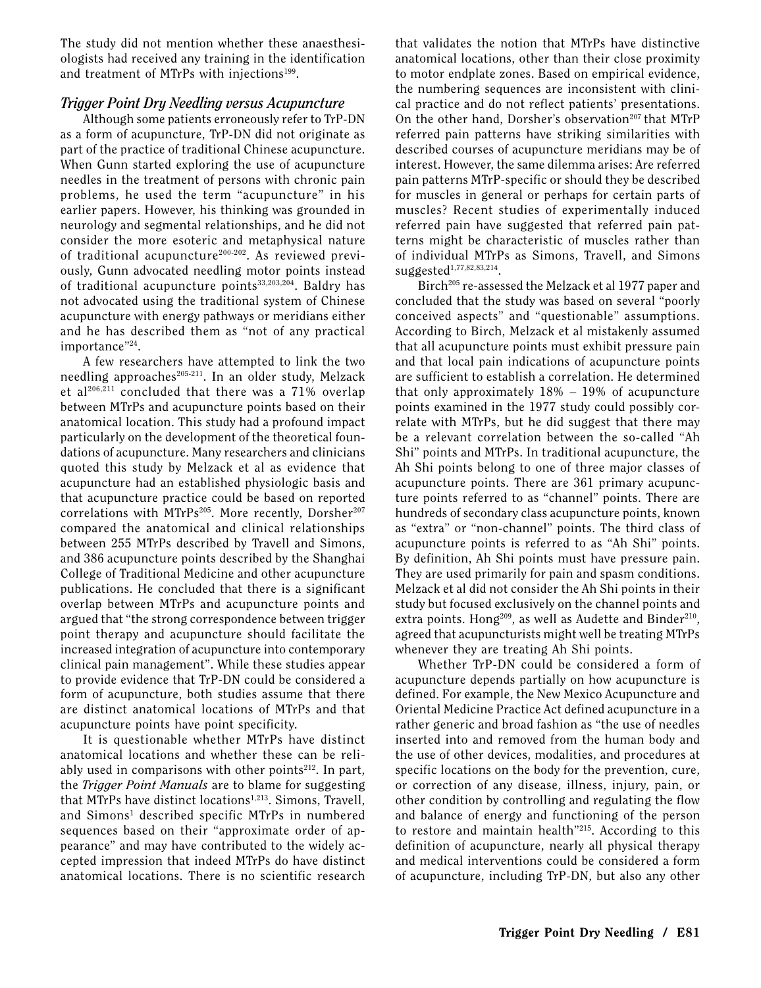The study did not mention whether these anaesthesiologists had received any training in the identification and treatment of MTrPs with injections<sup>199</sup>.

#### *Trigger Point Dry Needling versus Acupuncture*

Although some patients erroneously refer to TrP-DN as a form of acupuncture, TrP-DN did not originate as part of the practice of traditional Chinese acupuncture. When Gunn started exploring the use of acupuncture needles in the treatment of persons with chronic pain problems, he used the term "acupuncture" in his earlier papers. However, his thinking was grounded in neurology and segmental relationships, and he did not consider the more esoteric and metaphysical nature of traditional acupuncture<sup>200-202</sup>. As reviewed previously, Gunn advocated needling motor points instead of traditional acupuncture points<sup>33,203,204</sup>. Baldry has not advocated using the traditional system of Chinese acupuncture with energy pathways or meridians either and he has described them as "not of any practical importance"24.

A few researchers have attempted to link the two needling approaches $205-211$ . In an older study, Melzack et al $206,211$  concluded that there was a 71% overlap between MTrPs and acupuncture points based on their anatomical location. This study had a profound impact particularly on the development of the theoretical foundations of acupuncture. Many researchers and clinicians quoted this study by Melzack et al as evidence that acupuncture had an established physiologic basis and that acupuncture practice could be based on reported correlations with MTrPs<sup>205</sup>. More recently, Dorsher<sup>207</sup> compared the anatomical and clinical relationships between 255 MTrPs described by Travell and Simons, and 386 acupuncture points described by the Shanghai College of Traditional Medicine and other acupuncture publications. He concluded that there is a significant overlap between MTrPs and acupuncture points and argued that "the strong correspondence between trigger point therapy and acupuncture should facilitate the increased integration of acupuncture into contemporary clinical pain management". While these studies appear to provide evidence that TrP-DN could be considered a form of acupuncture, both studies assume that there are distinct anatomical locations of MTrPs and that acupuncture points have point specificity.

It is questionable whether MTrPs have distinct anatomical locations and whether these can be reliably used in comparisons with other points $2^{12}$ . In part, the *Trigger Point Manuals* are to blame for suggesting that MTrPs have distinct locations<sup>1,213</sup>. Simons, Travell, and Simons<sup>1</sup> described specific MTrPs in numbered sequences based on their "approximate order of appearance" and may have contributed to the widely accepted impression that indeed MTrPs do have distinct anatomical locations. There is no scientific research

that validates the notion that MTrPs have distinctive anatomical locations, other than their close proximity to motor endplate zones. Based on empirical evidence, the numbering sequences are inconsistent with clinical practice and do not reflect patients' presentations. On the other hand, Dorsher's observation<sup>207</sup> that MTrP referred pain patterns have striking similarities with described courses of acupuncture meridians may be of interest. However, the same dilemma arises: Are referred pain patterns MTrP-specific or should they be described for muscles in general or perhaps for certain parts of muscles? Recent studies of experimentally induced referred pain have suggested that referred pain patterns might be characteristic of muscles rather than of individual MTrPs as Simons, Travell, and Simons suggested<sup>1,77,82,83,214</sup>.

Birch<sup>205</sup> re-assessed the Melzack et al 1977 paper and concluded that the study was based on several "poorly conceived aspects" and "questionable" assumptions. According to Birch, Melzack et al mistakenly assumed that all acupuncture points must exhibit pressure pain and that local pain indications of acupuncture points are sufficient to establish a correlation. He determined that only approximately 18% – 19% of acupuncture points examined in the 1977 study could possibly correlate with MTrPs, but he did suggest that there may be a relevant correlation between the so-called "Ah Shi" points and MTrPs. In traditional acupuncture, the Ah Shi points belong to one of three major classes of acupuncture points. There are 361 primary acupuncture points referred to as "channel" points. There are hundreds of secondary class acupuncture points, known as "extra" or "non-channel" points. The third class of acupuncture points is referred to as "Ah Shi" points. By definition, Ah Shi points must have pressure pain. They are used primarily for pain and spasm conditions. Melzack et al did not consider the Ah Shi points in their study but focused exclusively on the channel points and extra points. Hong<sup>209</sup>, as well as Audette and Binder<sup>210</sup>, agreed that acupuncturists might well be treating MTrPs whenever they are treating Ah Shi points.

Whether TrP-DN could be considered a form of acupuncture depends partially on how acupuncture is defined. For example, the New Mexico Acupuncture and Oriental Medicine Practice Act defined acupuncture in a rather generic and broad fashion as "the use of needles inserted into and removed from the human body and the use of other devices, modalities, and procedures at specific locations on the body for the prevention, cure, or correction of any disease, illness, injury, pain, or other condition by controlling and regulating the flow and balance of energy and functioning of the person to restore and maintain health"215. According to this definition of acupuncture, nearly all physical therapy and medical interventions could be considered a form of acupuncture, including TrP-DN, but also any other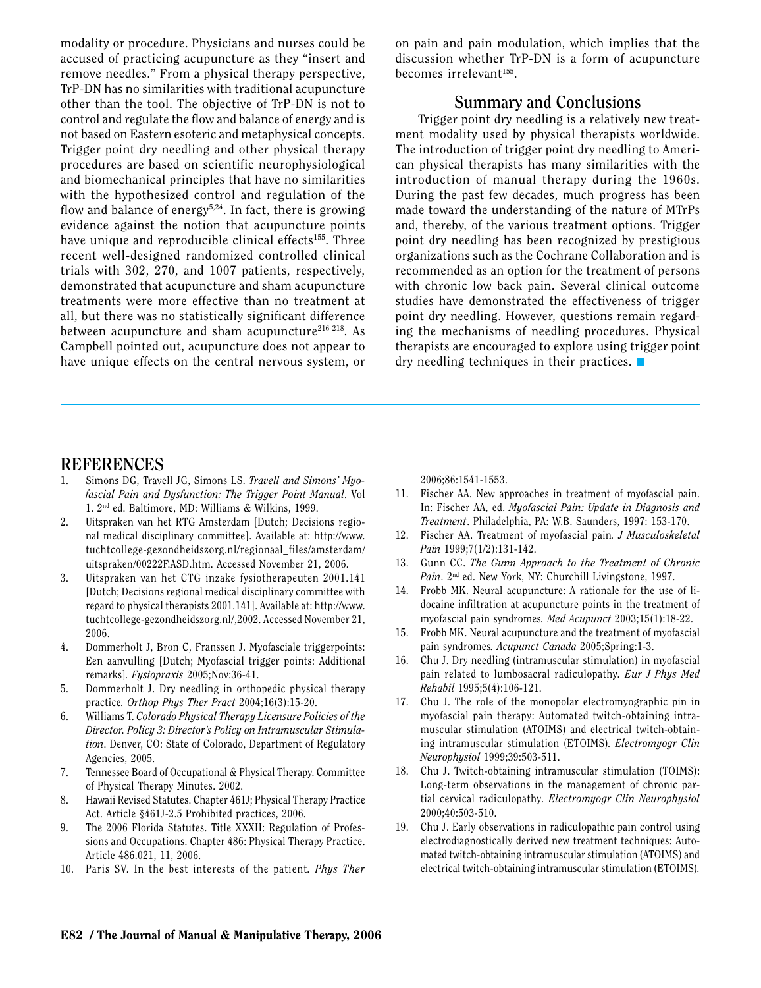modality or procedure. Physicians and nurses could be accused of practicing acupuncture as they "insert and remove needles." From a physical therapy perspective, TrP-DN has no similarities with traditional acupuncture other than the tool. The objective of TrP-DN is not to control and regulate the flow and balance of energy and is not based on Eastern esoteric and metaphysical concepts. Trigger point dry needling and other physical therapy procedures are based on scientific neurophysiological and biomechanical principles that have no similarities with the hypothesized control and regulation of the flow and balance of energy<sup>5,24</sup>. In fact, there is growing evidence against the notion that acupuncture points have unique and reproducible clinical effects<sup>155</sup>. Three recent well-designed randomized controlled clinical trials with 302, 270, and 1007 patients, respectively, demonstrated that acupuncture and sham acupuncture treatments were more effective than no treatment at all, but there was no statistically significant difference between acupuncture and sham acupuncture $216-218$ . As Campbell pointed out, acupuncture does not appear to have unique effects on the central nervous system, or

on pain and pain modulation, which implies that the discussion whether TrP-DN is a form of acupuncture becomes irrelevant<sup>155</sup>.

# **Summary and Conclusions**

Trigger point dry needling is a relatively new treatment modality used by physical therapists worldwide. The introduction of trigger point dry needling to American physical therapists has many similarities with the introduction of manual therapy during the 1960s. During the past few decades, much progress has been made toward the understanding of the nature of MTrPs and, thereby, of the various treatment options. Trigger point dry needling has been recognized by prestigious organizations such as the Cochrane Collaboration and is recommended as an option for the treatment of persons with chronic low back pain. Several clinical outcome studies have demonstrated the effectiveness of trigger point dry needling. However, questions remain regarding the mechanisms of needling procedures. Physical therapists are encouraged to explore using trigger point dry needling techniques in their practices.  $\blacksquare$ 

# **References**

- 1. Simons DG, Travell JG, Simons LS. *Travell and Simons' Myofascial Pain and Dysfunction: The Trigger Point Manual*. Vol 1. 2nd ed. Baltimore, MD: Williams & Wilkins, 1999.
- 2. Uitspraken van het RTG Amsterdam [Dutch; Decisions regional medical disciplinary committee]. Available at: http://www. tuchtcollege-gezondheidszorg.nl/regionaal\_files/amsterdam/ uitspraken/00222F.ASD.htm. Accessed November 21, 2006.
- 3. Uitspraken van het CTG inzake fysiotherapeuten 2001.141 [Dutch; Decisions regional medical disciplinary committee with regard to physical therapists 2001.141]. Available at: http://www. tuchtcollege-gezondheidszorg.nl/,2002. Accessed November 21, 2006.
- 4. Dommerholt J, Bron C, Franssen J. Myofasciale triggerpoints: Een aanvulling [Dutch; Myofascial trigger points: Additional remarks]*. Fysiopraxis* 2005;Nov:36-41.
- 5. Dommerholt J. Dry needling in orthopedic physical therapy practice*. Orthop Phys Ther Pract* 2004;16(3):15-20.
- 6. Williams T. *Colorado Physical Therapy Licensure Policies of the Director. Policy 3: Director's Policy on Intramuscular Stimulation*. Denver, CO: State of Colorado, Department of Regulatory Agencies, 2005.
- 7. Tennessee Board of Occupational & Physical Therapy. Committee of Physical Therapy Minutes. 2002.
- 8. Hawaii Revised Statutes. Chapter 461J; Physical Therapy Practice Act. Article §461J-2.5 Prohibited practices, 2006.
- 9. The 2006 Florida Statutes. Title XXXII: Regulation of Professions and Occupations. Chapter 486: Physical Therapy Practice. Article 486.021, 11, 2006.
- 10. Paris SV. In the best interests of the patient*. Phys Ther*

2006;86:1541-1553.

- 11. Fischer AA. New approaches in treatment of myofascial pain. In: Fischer AA, ed. *Myofascial Pain: Update in Diagnosis and Treatment*. Philadelphia, PA: W.B. Saunders, 1997: 153-170.
- 12. Fischer AA. Treatment of myofascial pain*. J Musculoskeletal Pain* 1999;7(1/2):131-142.
- 13. Gunn CC. *The Gunn Approach to the Treatment of Chronic Pain*. 2nd ed. New York, NY: Churchill Livingstone, 1997.
- 14. Frobb MK. Neural acupuncture: A rationale for the use of lidocaine infiltration at acupuncture points in the treatment of myofascial pain syndromes*. Med Acupunct* 2003;15(1):18-22.
- 15. Frobb MK. Neural acupuncture and the treatment of myofascial pain syndromes*. Acupunct Canada* 2005;Spring:1-3.
- 16. Chu J. Dry needling (intramuscular stimulation) in myofascial pain related to lumbosacral radiculopathy*. Eur J Phys Med Rehabil* 1995;5(4):106-121.
- 17. Chu J. The role of the monopolar electromyographic pin in myofascial pain therapy: Automated twitch-obtaining intramuscular stimulation (ATOIMS) and electrical twitch-obtaining intramuscular stimulation (ETOIMS)*. Electromyogr Clin Neurophysiol* 1999;39:503-511.
- 18. Chu J. Twitch-obtaining intramuscular stimulation (TOIMS): Long-term observations in the management of chronic partial cervical radiculopathy*. Electromyogr Clin Neurophysiol* 2000;40:503-510.
- 19. Chu J. Early observations in radiculopathic pain control using electrodiagnostically derived new treatment techniques: Automated twitch-obtaining intramuscular stimulation (ATOIMS) and electrical twitch-obtaining intramuscular stimulation (ETOIMS)*.*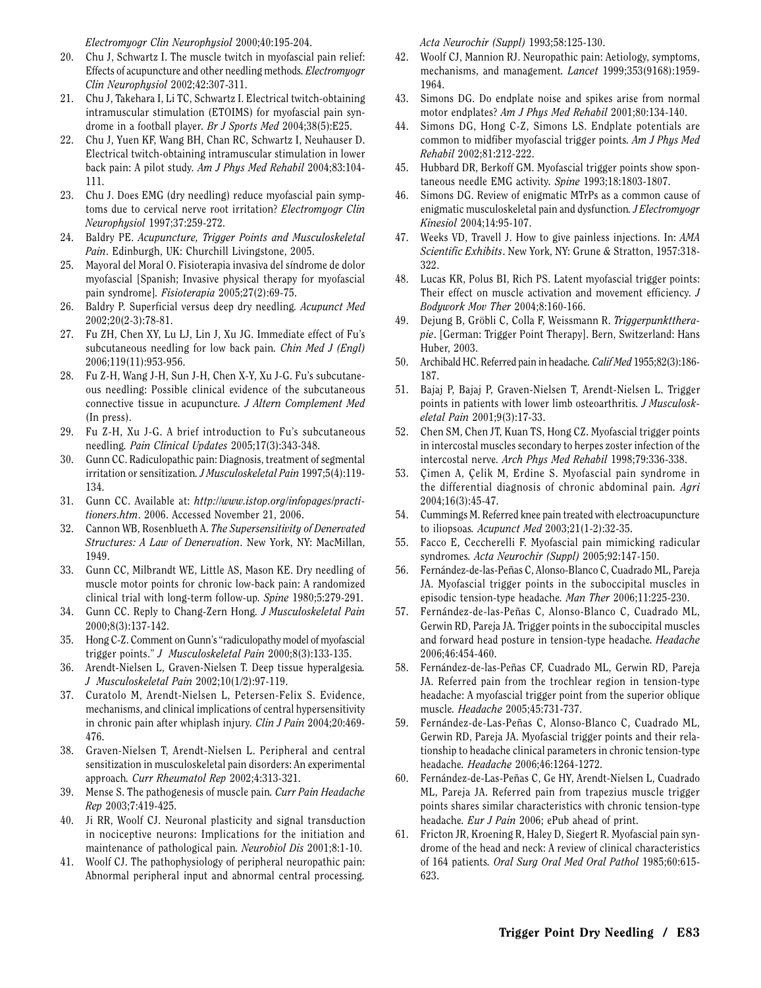*Electromyogr Clin Neurophysiol* 2000;40:195-204.

- 20. Chu J, Schwartz I. The muscle twitch in myofascial pain relief: Effects of acupuncture and other needling methods*. Electromyogr Clin Neurophysiol* 2002;42:307-311.
- 21. Chu J, Takehara I, Li TC, Schwartz I. Electrical twitch-obtaining intramuscular stimulation (ETOIMS) for myofascial pain syndrome in a football player*. Br J Sports Med* 2004;38(5):E25.
- 22. Chu J, Yuen KF, Wang BH, Chan RC, Schwartz I, Neuhauser D. Electrical twitch-obtaining intramuscular stimulation in lower back pain: A pilot study*. Am J Phys Med Rehabil* 2004;83:104- 111.
- 23. Chu J. Does EMG (dry needling) reduce myofascial pain symptoms due to cervical nerve root irritation? *Electromyogr Clin Neurophysiol* 1997;37:259-272.
- 24. Baldry PE. *Acupuncture, Trigger Points and Musculoskeletal Pain*. Edinburgh, UK: Churchill Livingstone, 2005.
- 25. Mayoral del Moral O. Fisioterapia invasiva del síndrome de dolor myofascial [Spanish; Invasive physical therapy for myofascial pain syndrome]*. Fisioterapia* 2005;27(2):69-75.
- 26. Baldry P. Superficial versus deep dry needling*. Acupunct Med* 2002;20(2-3):78-81.
- 27. Fu ZH, Chen XY, Lu LJ, Lin J, Xu JG. Immediate effect of Fu's subcutaneous needling for low back pain*. Chin Med J (Engl)* 2006;119(11):953-956.
- 28. Fu Z-H, Wang J-H, Sun J-H, Chen X-Y, Xu J-G. Fu's subcutaneous needling: Possible clinical evidence of the subcutaneous connective tissue in acupuncture*. J Altern Complement Med* (In press).
- 29. Fu Z-H, Xu J-G. A brief introduction to Fu's subcutaneous needling*. Pain Clinical Updates* 2005;17(3):343-348.
- 30. Gunn CC. Radiculopathic pain: Diagnosis, treatment of segmental irritation or sensitization*. J Musculoskeletal Pain* 1997;5(4):119- 134.
- 31. Gunn CC. Available at: *http://www.istop.org/infopages/practitioners.htm*. 2006. Accessed November 21, 2006.
- 32. Cannon WB, Rosenblueth A. *The Supersensitivity of Denervated Structures: A Law of Denervation*. New York, NY: MacMillan, 1949.
- 33. Gunn CC, Milbrandt WE, Little AS, Mason KE. Dry needling of muscle motor points for chronic low-back pain: A randomized clinical trial with long-term follow-up*. Spine* 1980;5:279-291.
- 34. Gunn CC. Reply to Chang-Zern Hong*. J Musculoskeletal Pain* 2000;8(3):137-142.
- 35. Hong C-Z. Comment on Gunn's "radiculopathy model of myofascial trigger points." *J Musculoskeletal Pain* 2000;8(3):133-135.
- 36. Arendt-Nielsen L, Graven-Nielsen T. Deep tissue hyperalgesia*. J Musculoskeletal Pain* 2002;10(1/2):97-119.
- 37. Curatolo M, Arendt-Nielsen L, Petersen-Felix S. Evidence, mechanisms, and clinical implications of central hypersensitivity in chronic pain after whiplash injury*. Clin J Pain* 2004;20:469- 476.
- 38. Graven-Nielsen T, Arendt-Nielsen L. Peripheral and central sensitization in musculoskeletal pain disorders: An experimental approach*. Curr Rheumatol Rep* 2002;4:313-321.
- 39. Mense S. The pathogenesis of muscle pain*. Curr Pain Headache Rep* 2003;7:419-425.
- 40. Ji RR, Woolf CJ. Neuronal plasticity and signal transduction in nociceptive neurons: Implications for the initiation and maintenance of pathological pain*. Neurobiol Dis* 2001;8:1-10.
- 41. Woolf CJ. The pathophysiology of peripheral neuropathic pain: Abnormal peripheral input and abnormal central processing*.*

*Acta Neurochir (Suppl)* 1993;58:125-130.

- 42. Woolf CJ, Mannion RJ. Neuropathic pain: Aetiology, symptoms, mechanisms, and management*. Lancet* 1999;353(9168):1959- 1964.
- 43. Simons DG. Do endplate noise and spikes arise from normal motor endplates? *Am J Phys Med Rehabil* 2001;80:134-140.
- 44. Simons DG, Hong C-Z, Simons LS. Endplate potentials are common to midfiber myofascial trigger points*. Am J Phys Med Rehabil* 2002;81:212-222.
- 45. Hubbard DR, Berkoff GM. Myofascial trigger points show spontaneous needle EMG activity*. Spine* 1993;18:1803-1807.
- 46. Simons DG. Review of enigmatic MTrPs as a common cause of enigmatic musculoskeletal pain and dysfunction*. J Electromyogr Kinesiol* 2004;14:95-107.
- 47. Weeks VD, Travell J. How to give painless injections. In: *AMA Scientific Exhibits*. New York, NY: Grune & Stratton, 1957:318- 322.
- 48. Lucas KR, Polus BI, Rich PS. Latent myofascial trigger points: Their effect on muscle activation and movement efficiency*. J Bodywork Mov Ther* 2004;8:160-166.
- 49. Dejung B, Gröbli C, Colla F, Weissmann R. *Triggerpunkttherapie*. [German: Trigger Point Therapy]. Bern, Switzerland: Hans Huber, 2003.
- 50. Archibald HC. Referred pain in headache*. Calif Med* 1955;82(3):186- 187.
- 51. Bajaj P, Bajaj P, Graven-Nielsen T, Arendt-Nielsen L. Trigger points in patients with lower limb osteoarthritis*. J Musculoskeletal Pain* 2001;9(3):17-33.
- 52. Chen SM, Chen JT, Kuan TS, Hong CZ. Myofascial trigger points in intercostal muscles secondary to herpes zoster infection of the intercostal nerve*. Arch Phys Med Rehabil* 1998;79:336-338.
- 53. Çimen A, Çelik M, Erdine S. Myofascial pain syndrome in the differential diagnosis of chronic abdominal pain*. Agri* 2004;16(3):45-47.
- 54. Cummings M. Referred knee pain treated with electroacupuncture to iliopsoas*. Acupunct Med* 2003;21(1-2):32-35.
- 55. Facco E, Ceccherelli F. Myofascial pain mimicking radicular syndromes*. Acta Neurochir (Suppl)* 2005;92:147-150.
- 56. Fernández-de-las-Peñas C, Alonso-Blanco C, Cuadrado ML, Pareja JA. Myofascial trigger points in the suboccipital muscles in episodic tension-type headache*. Man Ther* 2006;11:225-230.
- 57. Fernández-de-las-Peñas C, Alonso-Blanco C, Cuadrado ML, Gerwin RD, Pareja JA. Trigger points in the suboccipital muscles and forward head posture in tension-type headache*. Headache* 2006;46:454-460.
- 58. Fernández-de-las-Peñas CF, Cuadrado ML, Gerwin RD, Pareja JA. Referred pain from the trochlear region in tension-type headache: A myofascial trigger point from the superior oblique muscle*. Headache* 2005;45:731-737.
- 59. Fernández-de-Las-Peñas C, Alonso-Blanco C, Cuadrado ML, Gerwin RD, Pareja JA. Myofascial trigger points and their relationship to headache clinical parameters in chronic tension-type headache*. Headache* 2006;46:1264-1272.
- 60. Fernández-de-Las-Peñas C, Ge HY, Arendt-Nielsen L, Cuadrado ML, Pareja JA. Referred pain from trapezius muscle trigger points shares similar characteristics with chronic tension-type headache*. Eur J Pain* 2006; ePub ahead of print.
- 61. Fricton JR, Kroening R, Haley D, Siegert R. Myofascial pain syndrome of the head and neck: A review of clinical characteristics of 164 patients*. Oral Surg Oral Med Oral Pathol* 1985;60:615- 623.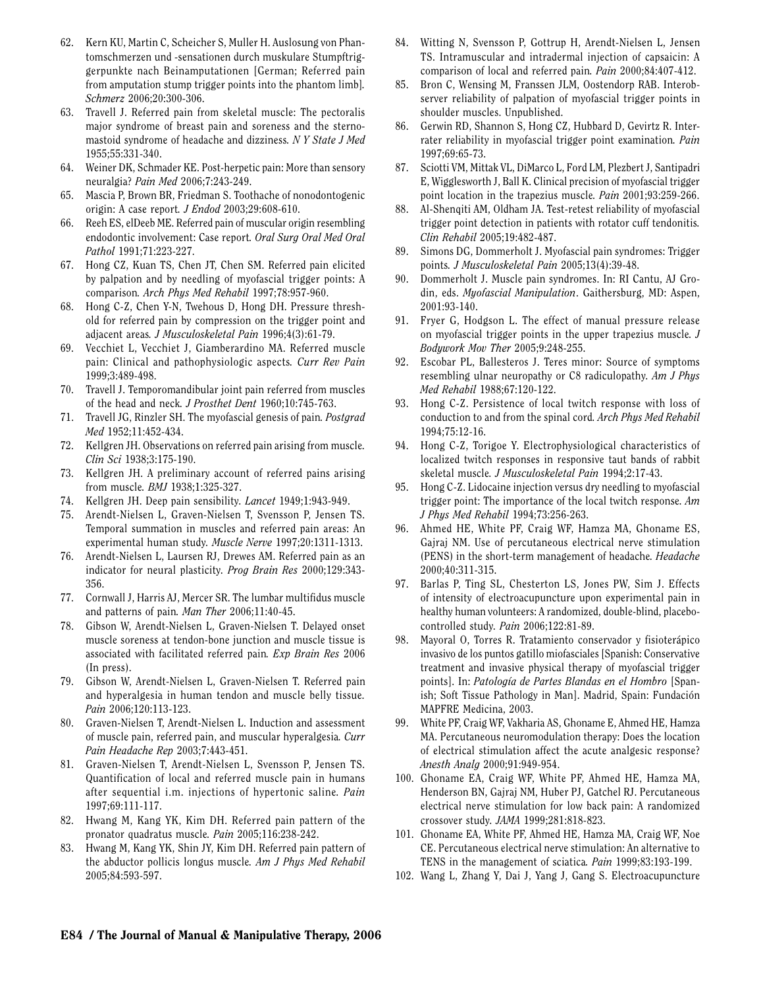- 62. Kern KU, Martin C, Scheicher S, Muller H. Auslosung von Phantomschmerzen und -sensationen durch muskulare Stumpftriggerpunkte nach Beinamputationen [German; Referred pain from amputation stump trigger points into the phantom limb]*. Schmerz* 2006;20:300-306.
- 63. Travell J. Referred pain from skeletal muscle: The pectoralis major syndrome of breast pain and soreness and the sternomastoid syndrome of headache and dizziness*. N Y State J Med* 1955;55:331-340.
- 64. Weiner DK, Schmader KE. Post-herpetic pain: More than sensory neuralgia? *Pain Med* 2006;7:243-249.
- 65. Mascia P, Brown BR, Friedman S. Toothache of nonodontogenic origin: A case report*. J Endod* 2003;29:608-610.
- 66. Reeh ES, elDeeb ME. Referred pain of muscular origin resembling endodontic involvement: Case report*. Oral Surg Oral Med Oral Pathol* 1991;71:223-227.
- 67. Hong CZ, Kuan TS, Chen JT, Chen SM. Referred pain elicited by palpation and by needling of myofascial trigger points: A comparison*. Arch Phys Med Rehabil* 1997;78:957-960.
- 68. Hong C-Z, Chen Y-N, Twehous D, Hong DH. Pressure threshold for referred pain by compression on the trigger point and adjacent areas*. J Musculoskeletal Pain* 1996;4(3):61-79.
- 69. Vecchiet L, Vecchiet J, Giamberardino MA. Referred muscle pain: Clinical and pathophysiologic aspects*. Curr Rev Pain* 1999;3:489-498.
- 70. Travell J. Temporomandibular joint pain referred from muscles of the head and neck*. J Prosthet Dent* 1960;10:745-763.
- 71. Travell JG, Rinzler SH. The myofascial genesis of pain*. Postgrad Med* 1952;11:452-434.
- 72. Kellgren JH. Observations on referred pain arising from muscle*. Clin Sci* 1938;3:175-190.
- 73. Kellgren JH. A preliminary account of referred pains arising from muscle*. BMJ* 1938;1:325-327.
- 74. Kellgren JH. Deep pain sensibility*. Lancet* 1949;1:943-949.
- 75. Arendt-Nielsen L, Graven-Nielsen T, Svensson P, Jensen TS. Temporal summation in muscles and referred pain areas: An experimental human study*. Muscle Nerve* 1997;20:1311-1313.
- 76. Arendt-Nielsen L, Laursen RJ, Drewes AM. Referred pain as an indicator for neural plasticity*. Prog Brain Res* 2000;129:343- 356.
- 77. Cornwall J, Harris AJ, Mercer SR. The lumbar multifidus muscle and patterns of pain*. Man Ther* 2006;11:40-45.
- 78. Gibson W, Arendt-Nielsen L, Graven-Nielsen T. Delayed onset muscle soreness at tendon-bone junction and muscle tissue is associated with facilitated referred pain*. Exp Brain Res* 2006 (In press).
- 79. Gibson W, Arendt-Nielsen L, Graven-Nielsen T. Referred pain and hyperalgesia in human tendon and muscle belly tissue*. Pain* 2006;120:113-123.
- 80. Graven-Nielsen T, Arendt-Nielsen L. Induction and assessment of muscle pain, referred pain, and muscular hyperalgesia*. Curr Pain Headache Rep* 2003;7:443-451.
- 81. Graven-Nielsen T, Arendt-Nielsen L, Svensson P, Jensen TS. Quantification of local and referred muscle pain in humans after sequential i.m. injections of hypertonic saline*. Pain* 1997;69:111-117.
- 82. Hwang M, Kang YK, Kim DH. Referred pain pattern of the pronator quadratus muscle*. Pain* 2005;116:238-242.
- 83. Hwang M, Kang YK, Shin JY, Kim DH. Referred pain pattern of the abductor pollicis longus muscle*. Am J Phys Med Rehabil* 2005;84:593-597.
- 84. Witting N, Svensson P, Gottrup H, Arendt-Nielsen L, Jensen TS. Intramuscular and intradermal injection of capsaicin: A comparison of local and referred pain*. Pain* 2000;84:407-412.
- 85. Bron C, Wensing M, Franssen JLM, Oostendorp RAB. Interobserver reliability of palpation of myofascial trigger points in shoulder muscles. Unpublished.
- 86. Gerwin RD, Shannon S, Hong CZ, Hubbard D, Gevirtz R. Interrater reliability in myofascial trigger point examination*. Pain* 1997;69:65-73.
- 87. Sciotti VM, Mittak VL, DiMarco L, Ford LM, Plezbert J, Santipadri E, Wigglesworth J, Ball K. Clinical precision of myofascial trigger point location in the trapezius muscle*. Pain* 2001;93:259-266.
- 88. Al-Shenqiti AM, Oldham JA. Test-retest reliability of myofascial trigger point detection in patients with rotator cuff tendonitis*. Clin Rehabil* 2005;19:482-487.
- 89. Simons DG, Dommerholt J. Myofascial pain syndromes: Trigger points*. J Musculoskeletal Pain* 2005;13(4):39-48.
- 90. Dommerholt J. Muscle pain syndromes. In: RI Cantu, AJ Grodin, eds. *Myofascial Manipulation*. Gaithersburg, MD: Aspen, 2001:93-140.
- 91. Fryer G, Hodgson L. The effect of manual pressure release on myofascial trigger points in the upper trapezius muscle*. J Bodywork Mov Ther* 2005;9:248-255.
- 92. Escobar PL, Ballesteros J. Teres minor: Source of symptoms resembling ulnar neuropathy or C8 radiculopathy*. Am J Phys Med Rehabil* 1988;67:120-122.
- 93. Hong C-Z. Persistence of local twitch response with loss of conduction to and from the spinal cord*. Arch Phys Med Rehabil* 1994;75:12-16.
- 94. Hong C-Z, Torigoe Y. Electrophysiological characteristics of localized twitch responses in responsive taut bands of rabbit skeletal muscle*. J Musculoskeletal Pain* 1994;2:17-43.
- 95. Hong C-Z. Lidocaine injection versus dry needling to myofascial trigger point: The importance of the local twitch response*. Am J Phys Med Rehabil* 1994;73:256-263.
- 96. Ahmed HE, White PF, Craig WF, Hamza MA, Ghoname ES, Gajraj NM. Use of percutaneous electrical nerve stimulation (PENS) in the short-term management of headache*. Headache* 2000;40:311-315.
- 97. Barlas P, Ting SL, Chesterton LS, Jones PW, Sim J. Effects of intensity of electroacupuncture upon experimental pain in healthy human volunteers: A randomized, double-blind, placebocontrolled study*. Pain* 2006;122:81-89.
- 98. Mayoral O, Torres R. Tratamiento conservador y fisioterápico invasivo de los puntos gatillo miofasciales [Spanish: Conservative treatment and invasive physical therapy of myofascial trigger points]. In: *Patología de Partes Blandas en el Hombro* [Spanish; Soft Tissue Pathology in Man]. Madrid, Spain: Fundación MAPFRE Medicina, 2003.
- 99. White PF, Craig WF, Vakharia AS, Ghoname E, Ahmed HE, Hamza MA. Percutaneous neuromodulation therapy: Does the location of electrical stimulation affect the acute analgesic response? *Anesth Analg* 2000;91:949-954.
- 100. Ghoname EA, Craig WF, White PF, Ahmed HE, Hamza MA, Henderson BN, Gajraj NM, Huber PJ, Gatchel RJ. Percutaneous electrical nerve stimulation for low back pain: A randomized crossover study*. JAMA* 1999;281:818-823.
- 101. Ghoname EA, White PF, Ahmed HE, Hamza MA, Craig WF, Noe CE. Percutaneous electrical nerve stimulation: An alternative to TENS in the management of sciatica*. Pain* 1999;83:193-199.
- 102. Wang L, Zhang Y, Dai J, Yang J, Gang S. Electroacupuncture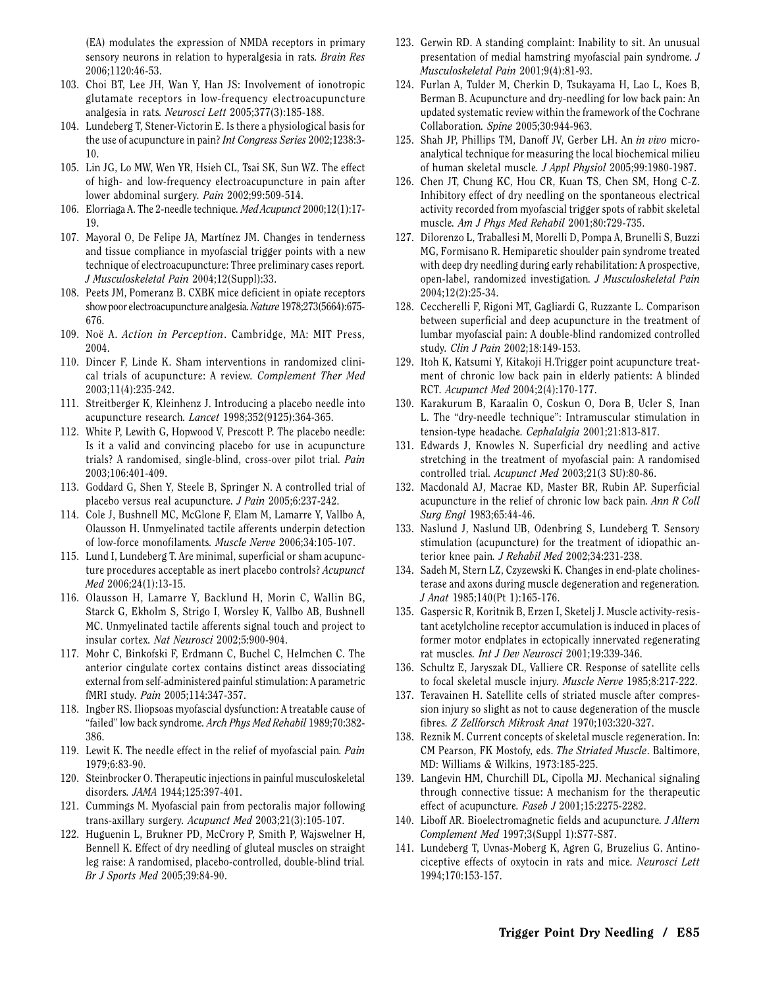(EA) modulates the expression of NMDA receptors in primary sensory neurons in relation to hyperalgesia in rats*. Brain Res* 2006;1120:46-53.

- 103. Choi BT, Lee JH, Wan Y, Han JS: Involvement of ionotropic glutamate receptors in low-frequency electroacupuncture analgesia in rats*. Neurosci Lett* 2005;377(3):185-188.
- 104. Lundeberg T, Stener-Victorin E. Is there a physiological basis for the use of acupuncture in pain? *Int Congress Series* 2002;1238:3- 10.
- 105. Lin JG, Lo MW, Wen YR, Hsieh CL, Tsai SK, Sun WZ. The effect of high- and low-frequency electroacupuncture in pain after lower abdominal surgery*. Pain* 2002;99:509-514.
- 106. Elorriaga A. The 2-needle technique*. Med Acupunct* 2000;12(1):17- 19.
- 107. Mayoral O, De Felipe JA, Martínez JM. Changes in tenderness and tissue compliance in myofascial trigger points with a new technique of electroacupuncture: Three preliminary cases report*. J Musculoskeletal Pain* 2004;12(Suppl):33.
- 108. Peets JM, Pomeranz B. CXBK mice deficient in opiate receptors show poor electroacupuncture analgesia*.Nature* 1978;273(5664):675- 676.
- 109. Noë A. *Action in Perception*. Cambridge, MA: MIT Press, 2004.
- 110. Dincer F, Linde K. Sham interventions in randomized clinical trials of acupuncture: A review*. Complement Ther Med* 2003;11(4):235-242.
- 111. Streitberger K, Kleinhenz J. Introducing a placebo needle into acupuncture research*. Lancet* 1998;352(9125):364-365.
- 112. White P, Lewith G, Hopwood V, Prescott P. The placebo needle: Is it a valid and convincing placebo for use in acupuncture trials? A randomised, single-blind, cross-over pilot trial*. Pain* 2003;106:401-409.
- 113. Goddard G, Shen Y, Steele B, Springer N. A controlled trial of placebo versus real acupuncture*. J Pain* 2005;6:237-242.
- 114. Cole J, Bushnell MC, McGlone F, Elam M, Lamarre Y, Vallbo A, Olausson H. Unmyelinated tactile afferents underpin detection of low-force monofilaments*. Muscle Nerve* 2006;34:105-107.
- 115. Lund I, Lundeberg T. Are minimal, superficial or sham acupuncture procedures acceptable as inert placebo controls? *Acupunct Med* 2006;24(1):13-15.
- 116. Olausson H, Lamarre Y, Backlund H, Morin C, Wallin BG, Starck G, Ekholm S, Strigo I, Worsley K, Vallbo AB, Bushnell MC. Unmyelinated tactile afferents signal touch and project to insular cortex*. Nat Neurosci* 2002;5:900-904.
- 117. Mohr C, Binkofski F, Erdmann C, Buchel C, Helmchen C. The anterior cingulate cortex contains distinct areas dissociating external from self-administered painful stimulation: A parametric fMRI study*. Pain* 2005;114:347-357.
- 118. Ingber RS. Iliopsoas myofascial dysfunction: A treatable cause of "failed" low back syndrome*. Arch Phys Med Rehabil* 1989;70:382- 386.
- 119. Lewit K. The needle effect in the relief of myofascial pain*. Pain* 1979;6:83-90.
- 120. Steinbrocker O. Therapeutic injections in painful musculoskeletal disorders*. JAMA* 1944;125:397-401.
- 121. Cummings M. Myofascial pain from pectoralis major following trans-axillary surgery*. Acupunct Med* 2003;21(3):105-107.
- 122. Huguenin L, Brukner PD, McCrory P, Smith P, Wajswelner H, Bennell K. Effect of dry needling of gluteal muscles on straight leg raise: A randomised, placebo-controlled, double-blind trial*. Br J Sports Med* 2005;39:84-90.
- 123. Gerwin RD. A standing complaint: Inability to sit. An unusual presentation of medial hamstring myofascial pain syndrome*. J Musculoskeletal Pain* 2001;9(4):81-93.
- 124. Furlan A, Tulder M, Cherkin D, Tsukayama H, Lao L, Koes B, Berman B. Acupuncture and dry-needling for low back pain: An updated systematic review within the framework of the Cochrane Collaboration*. Spine* 2005;30:944-963.
- 125. Shah JP, Phillips TM, Danoff JV, Gerber LH. An *in vivo* microanalytical technique for measuring the local biochemical milieu of human skeletal muscle*. J Appl Physiol* 2005;99:1980-1987.
- 126. Chen JT, Chung KC, Hou CR, Kuan TS, Chen SM, Hong C-Z. Inhibitory effect of dry needling on the spontaneous electrical activity recorded from myofascial trigger spots of rabbit skeletal muscle*. Am J Phys Med Rehabil* 2001;80:729-735.
- 127. Dilorenzo L, Traballesi M, Morelli D, Pompa A, Brunelli S, Buzzi MG, Formisano R. Hemiparetic shoulder pain syndrome treated with deep dry needling during early rehabilitation: A prospective, open-label, randomized investigation*. J Musculoskeletal Pain* 2004;12(2):25-34.
- 128. Ceccherelli F, Rigoni MT, Gagliardi G, Ruzzante L. Comparison between superficial and deep acupuncture in the treatment of lumbar myofascial pain: A double-blind randomized controlled study*. Clin J Pain* 2002;18:149-153.
- 129. Itoh K, Katsumi Y, Kitakoji H.Trigger point acupuncture treatment of chronic low back pain in elderly patients: A blinded RCT*. Acupunct Med* 2004;2(4):170-177.
- 130. Karakurum B, Karaalin O, Coskun O, Dora B, Ucler S, Inan L. The "dry-needle technique": Intramuscular stimulation in tension-type headache*. Cephalalgia* 2001;21:813-817.
- 131. Edwards J, Knowles N. Superficial dry needling and active stretching in the treatment of myofascial pain: A randomised controlled trial*. Acupunct Med* 2003;21(3 SU):80-86.
- 132. Macdonald AJ, Macrae KD, Master BR, Rubin AP. Superficial acupuncture in the relief of chronic low back pain*. Ann R Coll Surg Engl* 1983;65:44-46.
- 133. Naslund J, Naslund UB, Odenbring S, Lundeberg T. Sensory stimulation (acupuncture) for the treatment of idiopathic anterior knee pain*. J Rehabil Med* 2002;34:231-238.
- 134. Sadeh M, Stern LZ, Czyzewski K. Changes in end-plate cholinesterase and axons during muscle degeneration and regeneration*. J Anat* 1985;140(Pt 1):165-176.
- 135. Gaspersic R, Koritnik B, Erzen I, Sketelj J. Muscle activity-resistant acetylcholine receptor accumulation is induced in places of former motor endplates in ectopically innervated regenerating rat muscles*. Int J Dev Neurosci* 2001;19:339-346.
- 136. Schultz E, Jaryszak DL, Valliere CR. Response of satellite cells to focal skeletal muscle injury*. Muscle Nerve* 1985;8:217-222.
- 137. Teravainen H. Satellite cells of striated muscle after compression injury so slight as not to cause degeneration of the muscle fibres*. Z Zellforsch Mikrosk Anat* 1970;103:320-327.
- 138. Reznik M. Current concepts of skeletal muscle regeneration. In: CM Pearson, FK Mostofy, eds. *The Striated Muscle*. Baltimore, MD: Williams & Wilkins, 1973:185-225.
- 139. Langevin HM, Churchill DL, Cipolla MJ. Mechanical signaling through connective tissue: A mechanism for the therapeutic effect of acupuncture*. Faseb J* 2001;15:2275-2282.
- 140. Liboff AR. Bioelectromagnetic fields and acupuncture*. J Altern Complement Med* 1997;3(Suppl 1):S77-S87.
- 141. Lundeberg T, Uvnas-Moberg K, Agren G, Bruzelius G. Antinociceptive effects of oxytocin in rats and mice*. Neurosci Lett* 1994;170:153-157.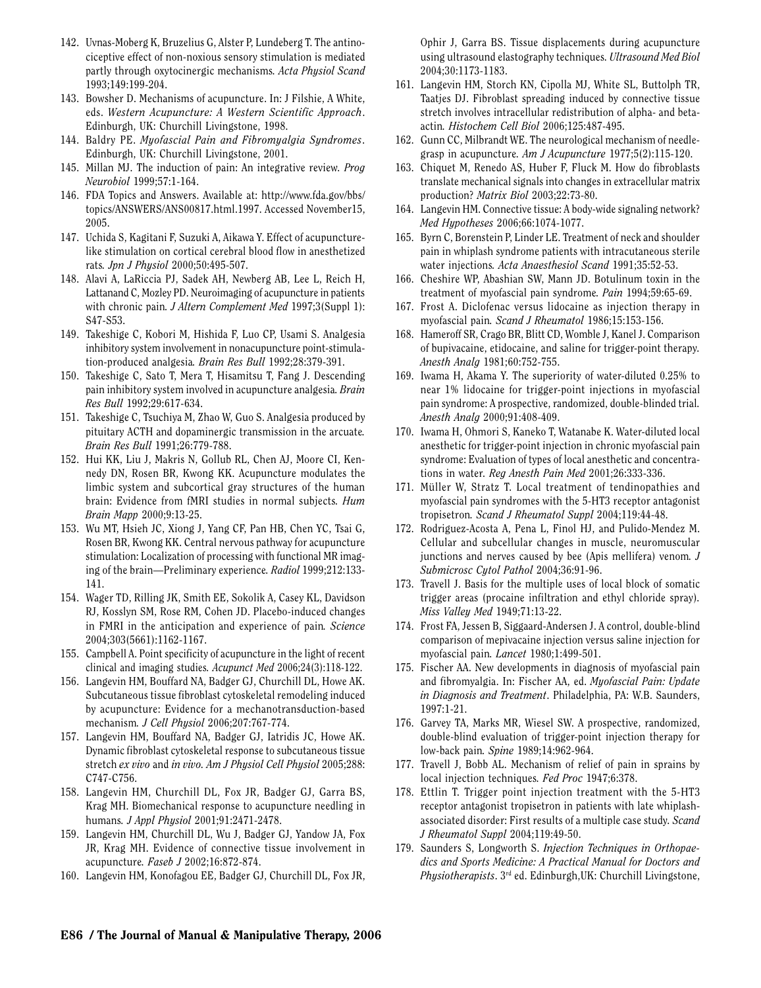- 142. Uvnas-Moberg K, Bruzelius G, Alster P, Lundeberg T. The antinociceptive effect of non-noxious sensory stimulation is mediated partly through oxytocinergic mechanisms*. Acta Physiol Scand* 1993;149:199-204.
- 143. Bowsher D. Mechanisms of acupuncture. In: J Filshie, A White, eds. *Western Acupuncture: A Western Scientific Approach*. Edinburgh, UK: Churchill Livingstone, 1998.
- 144. Baldry PE. *Myofascial Pain and Fibromyalgia Syndromes*. Edinburgh, UK: Churchill Livingstone, 2001.
- 145. Millan MJ. The induction of pain: An integrative review*. Prog Neurobiol* 1999;57:1-164.
- 146. FDA Topics and Answers. Available at: http://www.fda.gov/bbs/ topics/ANSWERS/ANS00817.html.1997. Accessed November15, 2005.
- 147. Uchida S, Kagitani F, Suzuki A, Aikawa Y. Effect of acupuncturelike stimulation on cortical cerebral blood flow in anesthetized rats*. Jpn J Physiol* 2000;50:495-507.
- 148. Alavi A, LaRiccia PJ, Sadek AH, Newberg AB, Lee L, Reich H, Lattanand C, Mozley PD. Neuroimaging of acupuncture in patients with chronic pain*. J Altern Complement Med* 1997;3(Suppl 1): S47-S53.
- 149. Takeshige C, Kobori M, Hishida F, Luo CP, Usami S. Analgesia inhibitory system involvement in nonacupuncture point-stimulation-produced analgesia*. Brain Res Bull* 1992;28:379-391.
- 150. Takeshige C, Sato T, Mera T, Hisamitsu T, Fang J. Descending pain inhibitory system involved in acupuncture analgesia*. Brain Res Bull* 1992;29:617-634.
- 151. Takeshige C, Tsuchiya M, Zhao W, Guo S. Analgesia produced by pituitary ACTH and dopaminergic transmission in the arcuate*. Brain Res Bull* 1991;26:779-788.
- 152. Hui KK, Liu J, Makris N, Gollub RL, Chen AJ, Moore CI, Kennedy DN, Rosen BR, Kwong KK. Acupuncture modulates the limbic system and subcortical gray structures of the human brain: Evidence from fMRI studies in normal subjects*. Hum Brain Mapp* 2000;9:13-25.
- 153. Wu MT, Hsieh JC, Xiong J, Yang CF, Pan HB, Chen YC, Tsai G, Rosen BR, Kwong KK. Central nervous pathway for acupuncture stimulation: Localization of processing with functional MR imaging of the brain—Preliminary experience*. Radiol* 1999;212:133- 141.
- 154. Wager TD, Rilling JK, Smith EE, Sokolik A, Casey KL, Davidson RJ, Kosslyn SM, Rose RM, Cohen JD. Placebo-induced changes in FMRI in the anticipation and experience of pain*. Science* 2004;303(5661):1162-1167.
- 155. Campbell A. Point specificity of acupuncture in the light of recent clinical and imaging studies*. Acupunct Med* 2006;24(3):118-122.
- 156. Langevin HM, Bouffard NA, Badger GJ, Churchill DL, Howe AK. Subcutaneous tissue fibroblast cytoskeletal remodeling induced by acupuncture: Evidence for a mechanotransduction-based mechanism*. J Cell Physiol* 2006;207:767-774.
- 157. Langevin HM, Bouffard NA, Badger GJ, Iatridis JC, Howe AK. Dynamic fibroblast cytoskeletal response to subcutaneous tissue stretch *ex vivo* and *in vivo. Am J Physiol Cell Physiol* 2005;288: C747-C756.
- 158. Langevin HM, Churchill DL, Fox JR, Badger GJ, Garra BS, Krag MH. Biomechanical response to acupuncture needling in humans*. J Appl Physiol* 2001;91:2471-2478.
- 159. Langevin HM, Churchill DL, Wu J, Badger GJ, Yandow JA, Fox JR, Krag MH. Evidence of connective tissue involvement in acupuncture*. Faseb J* 2002;16:872-874.
- 160. Langevin HM, Konofagou EE, Badger GJ, Churchill DL, Fox JR,

Ophir J, Garra BS. Tissue displacements during acupuncture using ultrasound elastography techniques*. Ultrasound Med Biol* 2004;30:1173-1183.

- 161. Langevin HM, Storch KN, Cipolla MJ, White SL, Buttolph TR, Taatjes DJ. Fibroblast spreading induced by connective tissue stretch involves intracellular redistribution of alpha- and betaactin*. Histochem Cell Biol* 2006;125:487-495.
- 162. Gunn CC, Milbrandt WE. The neurological mechanism of needlegrasp in acupuncture*. Am J Acupuncture* 1977;5(2):115-120.
- 163. Chiquet M, Renedo AS, Huber F, Fluck M. How do fibroblasts translate mechanical signals into changes in extracellular matrix production? *Matrix Biol* 2003;22:73-80.
- 164. Langevin HM. Connective tissue: A body-wide signaling network? *Med Hypotheses* 2006;66:1074-1077.
- 165. Byrn C, Borenstein P, Linder LE. Treatment of neck and shoulder pain in whiplash syndrome patients with intracutaneous sterile water injections*. Acta Anaesthesiol Scand* 1991;35:52-53.
- 166. Cheshire WP, Abashian SW, Mann JD. Botulinum toxin in the treatment of myofascial pain syndrome*. Pain* 1994;59:65-69.
- 167. Frost A. Diclofenac versus lidocaine as injection therapy in myofascial pain*. Scand J Rheumatol* 1986;15:153-156.
- 168. Hameroff SR, Crago BR, Blitt CD, Womble J, Kanel J. Comparison of bupivacaine, etidocaine, and saline for trigger-point therapy*. Anesth Analg* 1981;60:752-755.
- 169. Iwama H, Akama Y. The superiority of water-diluted 0.25% to near 1% lidocaine for trigger-point injections in myofascial pain syndrome: A prospective, randomized, double-blinded trial*. Anesth Analg* 2000;91:408-409.
- 170. Iwama H, Ohmori S, Kaneko T, Watanabe K. Water-diluted local anesthetic for trigger-point injection in chronic myofascial pain syndrome: Evaluation of types of local anesthetic and concentrations in water*. Reg Anesth Pain Med* 2001;26:333-336.
- 171. Müller W, Stratz T. Local treatment of tendinopathies and myofascial pain syndromes with the 5-HT3 receptor antagonist tropisetron*. Scand J Rheumatol Suppl* 2004;119:44-48.
- 172. Rodriguez-Acosta A, Pena L, Finol HJ, and Pulido-Mendez M. Cellular and subcellular changes in muscle, neuromuscular junctions and nerves caused by bee (Apis mellifera) venom*. J Submicrosc Cytol Pathol* 2004;36:91-96.
- 173. Travell J. Basis for the multiple uses of local block of somatic trigger areas (procaine infiltration and ethyl chloride spray)*. Miss Valley Med* 1949;71:13-22.
- 174. Frost FA, Jessen B, Siggaard-Andersen J. A control, double-blind comparison of mepivacaine injection versus saline injection for myofascial pain*. Lancet* 1980;1:499-501.
- 175. Fischer AA. New developments in diagnosis of myofascial pain and fibromyalgia. In: Fischer AA, ed. *Myofascial Pain: Update in Diagnosis and Treatment*. Philadelphia, PA: W.B. Saunders, 1997:1-21.
- 176. Garvey TA, Marks MR, Wiesel SW. A prospective, randomized, double-blind evaluation of trigger-point injection therapy for low-back pain*. Spine* 1989;14:962-964.
- 177. Travell J, Bobb AL. Mechanism of relief of pain in sprains by local injection techniques*. Fed Proc* 1947;6:378.
- 178. Ettlin T. Trigger point injection treatment with the 5-HT3 receptor antagonist tropisetron in patients with late whiplashassociated disorder: First results of a multiple case study*. Scand J Rheumatol Suppl* 2004;119:49-50.
- 179. Saunders S, Longworth S. *Injection Techniques in Orthopaedics and Sports Medicine: A Practical Manual for Doctors and Physiotherapists*. 3rd ed. Edinburgh,UK: Churchill Livingstone,